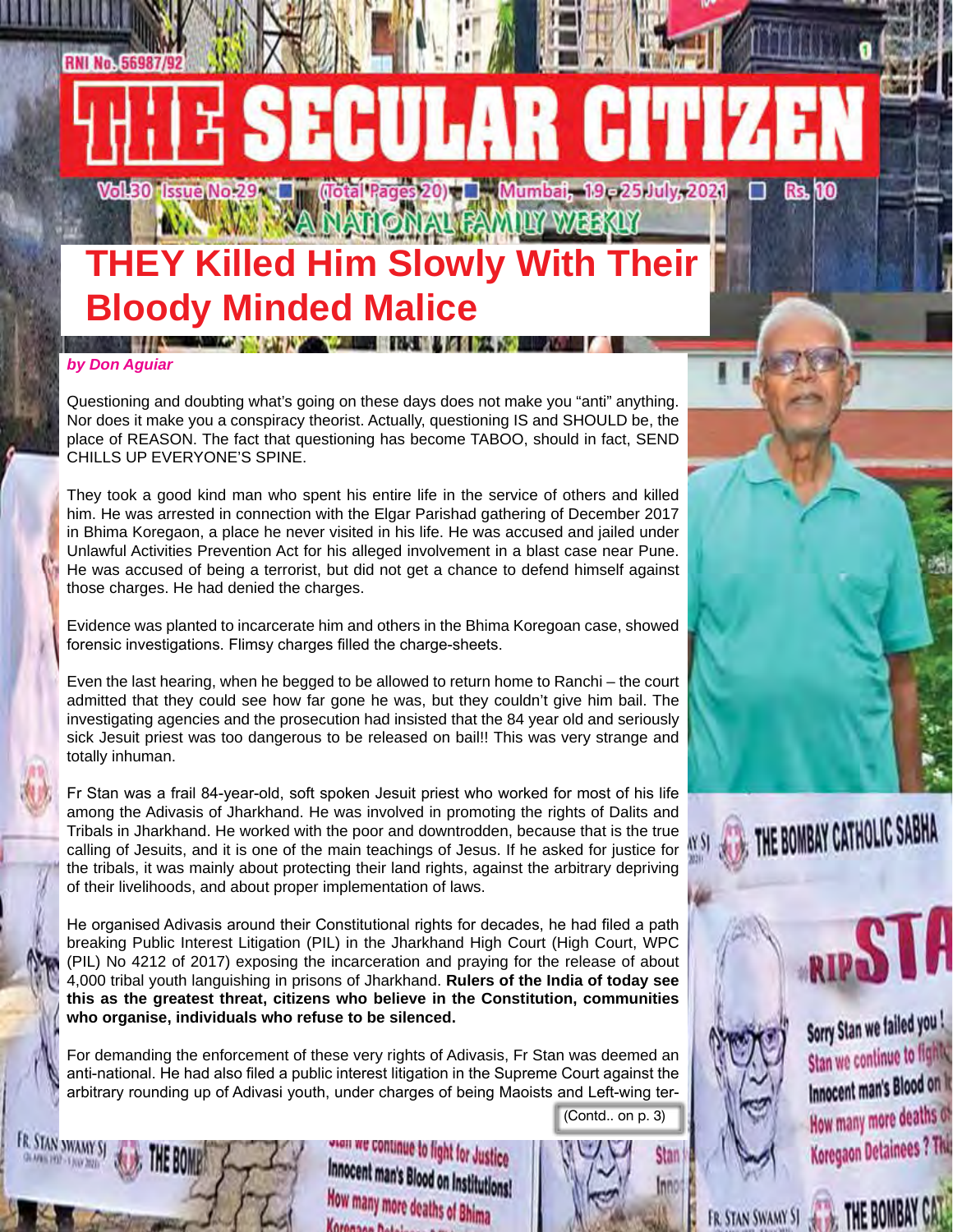# ¤ SEGULAR GI

Vol.50 (Issue No.29) [ ] (Jotal Pages 20) [ ] [Mumbai, 19 - 25 July, 2021 **AVALUATE NATIONAL FAMULY WEEKLY** 

## **THEY Killed Him Slowly With Their Bloody Minded Malice**

#### *by Don Aguiar*

FR. STAN SWAMY SJ

**RNI No. 56987/92** 

Questioning and doubting what's going on these days does not make you "anti" anything. Nor does it make you a conspiracy theorist. Actually, questioning IS and SHOULD be, the place of REASON. The fact that questioning has become TABOO, should in fact, SEND CHILLS UP EVERYONE'S SPINE.

They took a good kind man who spent his entire life in the service of others and killed him. He was arrested in connection with the Elgar Parishad gathering of December 2017 in Bhima Koregaon, a place he never visited in his life. He was accused and jailed under Unlawful Activities Prevention Act for his alleged involvement in a blast case near Pune. He was accused of being a terrorist, but did not get a chance to defend himself against those charges. He had denied the charges.

Evidence was planted to incarcerate him and others in the Bhima Koregoan case, showed forensic investigations. Flimsy charges filled the charge-sheets.

Even the last hearing, when he begged to be allowed to return home to Ranchi – the court admitted that they could see how far gone he was, but they couldn't give him bail. The investigating agencies and the prosecution had insisted that the 84 year old and seriously sick Jesuit priest was too dangerous to be released on bail!! This was very strange and totally inhuman.

Fr Stan was a frail 84-year-old, soft spoken Jesuit priest who worked for most of his life among the Adivasis of Jharkhand. He was involved in promoting the rights of Dalits and Tribals in Jharkhand. He worked with the poor and downtrodden, because that is the true calling of Jesuits, and it is one of the main teachings of Jesus. If he asked for justice for the tribals, it was mainly about protecting their land rights, against the arbitrary depriving of their livelihoods, and about proper implementation of laws.

He organised Adivasis around their Constitutional rights for decades, he had filed a path breaking Public Interest Litigation (PIL) in the Jharkhand High Court (High Court, WPC (PIL) No 4212 of 2017) exposing the incarceration and praying for the release of about 4,000 tribal youth languishing in prisons of Jharkhand. **Rulers of the India of today see this as the greatest threat, citizens who believe in the Constitution, communities who organise, individuals who refuse to be silenced.**

For demanding the enforcement of these very rights of Adivasis, Fr Stan was deemed an anti-national. He had also filed a public interest litigation in the Supreme Court against the arbitrary rounding up of Adivasi youth, under charges of being Maoists and Left-wing ter-

Koronnan Basal

handed received to fight for Justice

Innocent man's Blood on Institutions!

How many more deaths of Bhima



(Contd.. on p. 3)



RIPSTA Sorry Stan we failed you! Stan we continue to fights Innocent man's Blood on It

THE BOMBAY CATHOLIC SABHA

How many more deaths of Koregaon Detainees ? This

THE BOMBAY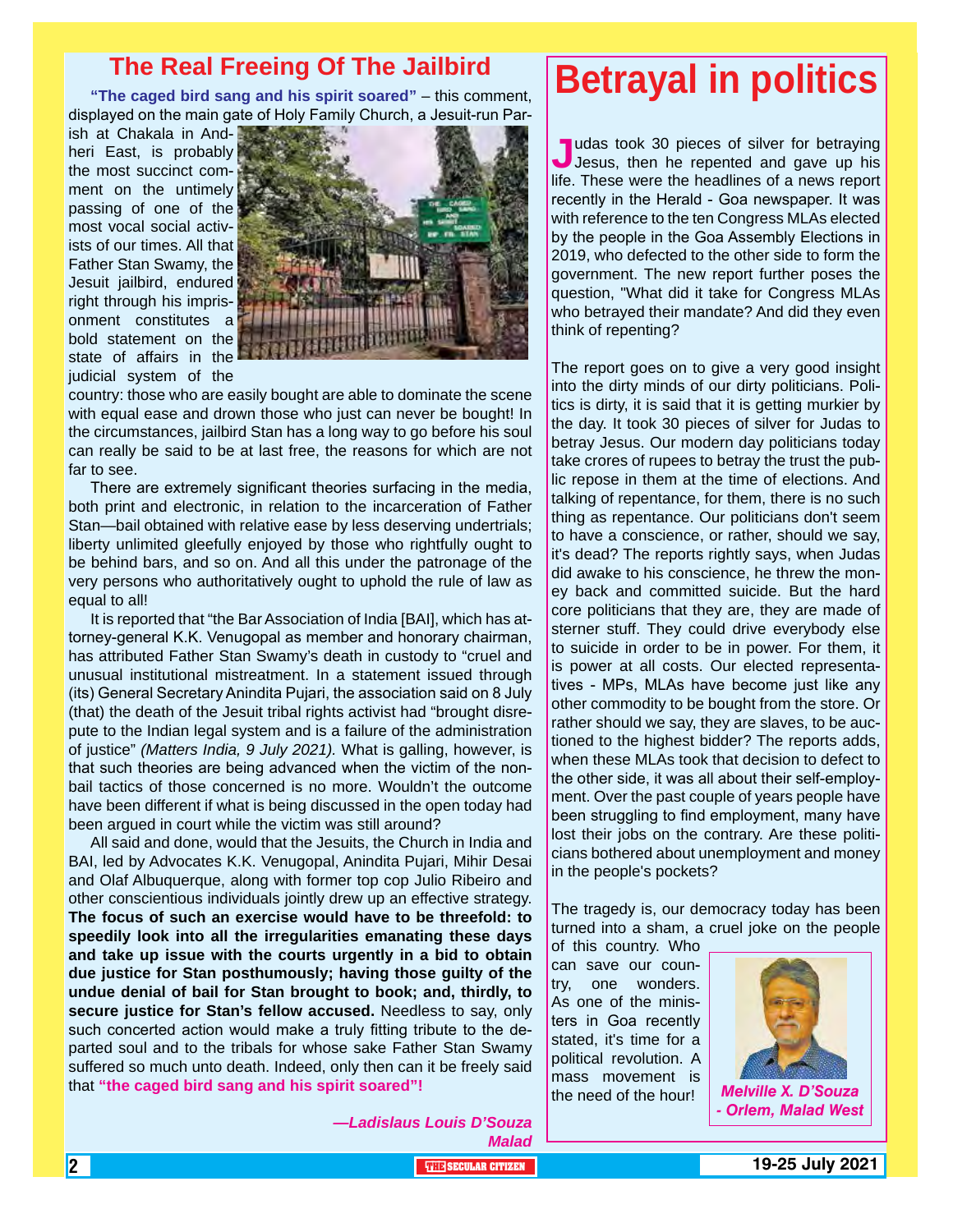**"The caged bird sang and his spirit soared"** – this comment, displayed on the main gate of Holy Family Church, a Jesuit-run Par-

ish at Chakala in Andheri East, is probably the most succinct comment on the untimely passing of one of the most vocal social activists of our times. All that Father Stan Swamy, the Jesuit jailbird, endured right through his imprisonment constitutes a bold statement on the state of affairs in the judicial system of the



country: those who are easily bought are able to dominate the scene with equal ease and drown those who just can never be bought! In the circumstances, jailbird Stan has a long way to go before his soul can really be said to be at last free, the reasons for which are not far to see.

There are extremely significant theories surfacing in the media, both print and electronic, in relation to the incarceration of Father Stan—bail obtained with relative ease by less deserving undertrials; liberty unlimited gleefully enjoyed by those who rightfully ought to be behind bars, and so on. And all this under the patronage of the very persons who authoritatively ought to uphold the rule of law as equal to all!

It is reported that "the Bar Association of India [BAI], which has attorney-general K.K. Venugopal as member and honorary chairman, has attributed Father Stan Swamy's death in custody to "cruel and unusual institutional mistreatment. In a statement issued through (its) General Secretary Anindita Pujari, the association said on 8 July (that) the death of the Jesuit tribal rights activist had "brought disrepute to the Indian legal system and is a failure of the administration of justice" *(Matters India, 9 July 2021).* What is galling, however, is that such theories are being advanced when the victim of the nonbail tactics of those concerned is no more. Wouldn't the outcome have been different if what is being discussed in the open today had been argued in court while the victim was still around?

All said and done, would that the Jesuits, the Church in India and BAI, led by Advocates K.K. Venugopal, Anindita Pujari, Mihir Desai and Olaf Albuquerque, along with former top cop Julio Ribeiro and other conscientious individuals jointly drew up an effective strategy. **The focus of such an exercise would have to be threefold: to speedily look into all the irregularities emanating these days and take up issue with the courts urgently in a bid to obtain due justice for Stan posthumously; having those guilty of the undue denial of bail for Stan brought to book; and, thirdly, to secure justice for Stan's fellow accused.** Needless to say, only such concerted action would make a truly fitting tribute to the departed soul and to the tribals for whose sake Father Stan Swamy suffered so much unto death. Indeed, only then can it be freely said that **"the caged bird sang and his spirit soared"!**

## The Real Freeing Of The Jailbird<br>**Betrayal in politics**

Judas took 30 pieces of silver for betraying<br>Jesus, then he repented and gave up his life. These were the headlines of a news report recently in the Herald - Goa newspaper. It was with reference to the ten Congress MLAs elected by the people in the Goa Assembly Elections in 2019, who defected to the other side to form the government. The new report further poses the question, "What did it take for Congress MLAs who betrayed their mandate? And did they even think of repenting?

The report goes on to give a very good insight into the dirty minds of our dirty politicians. Politics is dirty, it is said that it is getting murkier by the day. It took 30 pieces of silver for Judas to betray Jesus. Our modern day politicians today take crores of rupees to betray the trust the public repose in them at the time of elections. And talking of repentance, for them, there is no such thing as repentance. Our politicians don't seem to have a conscience, or rather, should we say, it's dead? The reports rightly says, when Judas did awake to his conscience, he threw the money back and committed suicide. But the hard core politicians that they are, they are made of sterner stuff. They could drive everybody else to suicide in order to be in power. For them, it is power at all costs. Our elected representatives - MPs, MLAs have become just like any other commodity to be bought from the store. Or rather should we say, they are slaves, to be auctioned to the highest bidder? The reports adds, when these MLAs took that decision to defect to the other side, it was all about their self-employment. Over the past couple of years people have been struggling to find employment, many have lost their jobs on the contrary. Are these politicians bothered about unemployment and money in the people's pockets?

The tragedy is, our democracy today has been turned into a sham, a cruel joke on the people

of this country. Who can save our country, one wonders. As one of the ministers in Goa recently stated, it's time for a political revolution. A mass movement is the need of the hour! *Melville X. D'Souza*



*- Orlem, Malad West*

*—Ladislaus Louis D'Souza Malad*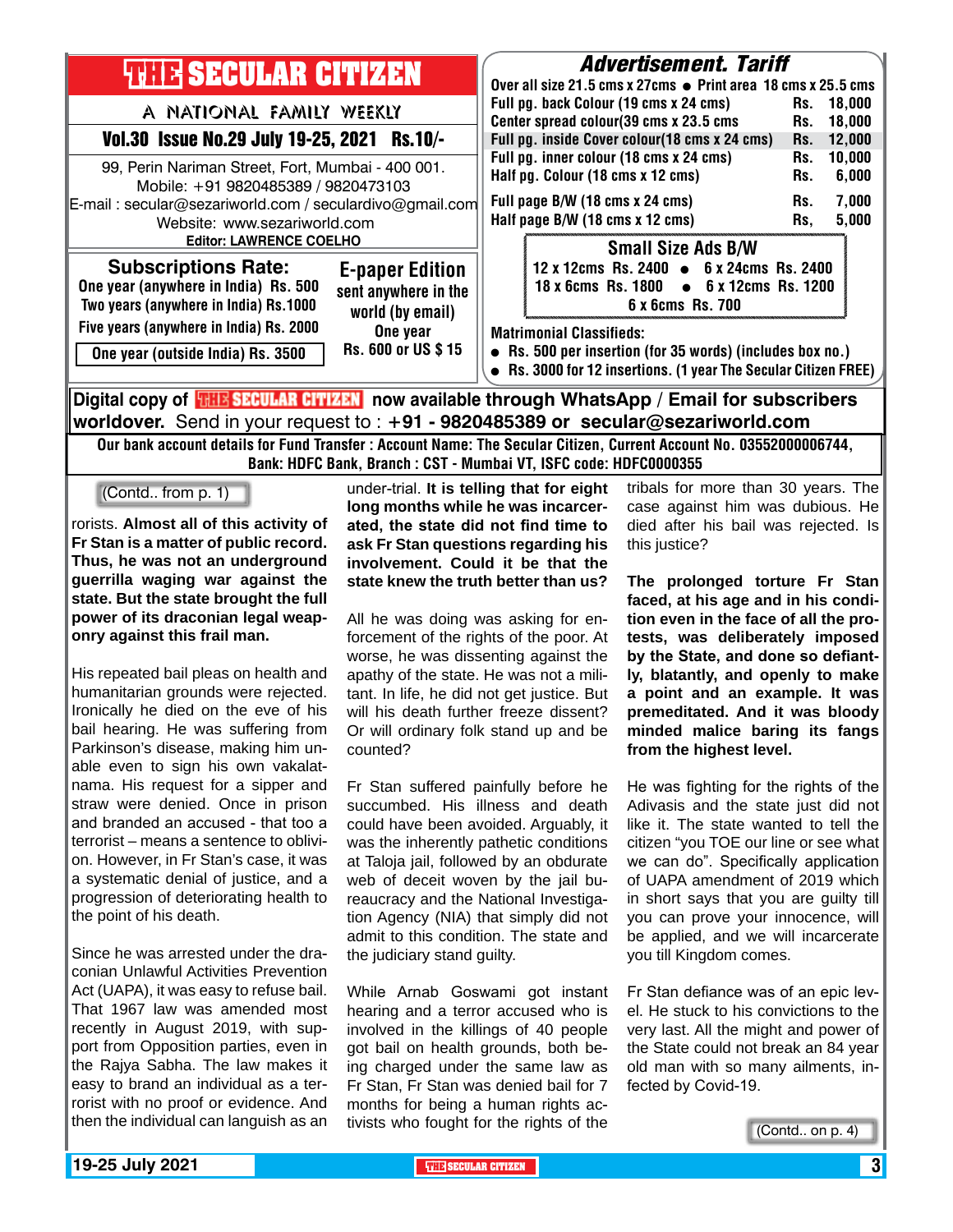| <b>THILE SECULAR CITIZEN</b>                                                                                                                                                      | <b>Advertisement. Tariff</b><br>Over all size 21.5 cms x 27cms ● Print area 18 cms x 25.5 cms                                                                                        |
|-----------------------------------------------------------------------------------------------------------------------------------------------------------------------------------|--------------------------------------------------------------------------------------------------------------------------------------------------------------------------------------|
| A NATIONAL FAMILY WEEKLY                                                                                                                                                          | Full pg. back Colour (19 cms x 24 cms)<br>18.000<br>Rs.<br>Center spread colour(39 cms x 23.5 cms<br>18.000<br>Rs.<br>Full pg. inside Cover colour(18 cms x 24 cms)<br>12,000<br>Rs. |
| Vol.30 Issue No.29 July 19-25, 2021 Rs.10/-                                                                                                                                       |                                                                                                                                                                                      |
| 99, Perin Nariman Street, Fort, Mumbai - 400 001.<br>Mobile: +91 9820485389 / 9820473103                                                                                          | Full pg. inner colour (18 cms x 24 cms)<br>10,000<br>Rs.<br>Half pg. Colour (18 cms x 12 cms)<br>6,000<br>Rs.                                                                        |
| E-mail: secular@sezariworld.com / seculardivo@gmail.com<br>Website: www.sezariworld.com                                                                                           | Full page B/W (18 cms x 24 cms)<br>7.000<br>Rs.<br>Half page B/W (18 cms x 12 cms)<br>5,000<br>Rs.                                                                                   |
| <b>Editor: LAWRENCE COELHO</b>                                                                                                                                                    | <b>Small Size Ads B/W</b>                                                                                                                                                            |
| <b>Subscriptions Rate:</b><br><b>E-paper Edition</b><br>One year (anywhere in India) Rs. 500<br>sent anywhere in the<br>Two years (anywhere in India) Rs.1000<br>world (by email) | 12 x 12cms Rs. 2400 • 6 x 24cms Rs. 2400<br>18 x 6cms Rs. 1800 • 6 x 12cms Rs. 1200<br>6 x 6cms Rs. 700                                                                              |
| Five years (anywhere in India) Rs. 2000<br>One year<br>Rs. 600 or US \$15<br>One year (outside India) Rs. 3500                                                                    | <b>Matrimonial Classifieds:</b><br>• Rs. 500 per insertion (for 35 words) (includes box no.)                                                                                         |
| Digital copy of <mark>THE SECULAR CITIMAN</mark> now available through WhatsApp / Email for subscribers                                                                           | • Rs. 3000 for 12 insertions. (1 year The Secular Citizen FREE)                                                                                                                      |

**worldover.** Send in your request to : **+91 - 9820485389 or secular@sezariworld.com**

Our bank account details for Fund Transfer : Account Name: The Secular Citizen, Current Account No. 03552000006744, Bank: HDFC Bank, Branch : CST - Mumbai VT, ISFC code: HDFC0000355

(Contd.. from p. 1)

rorists. **Almost all of this activity of Fr Stan is a matter of public record. Thus, he was not an underground guerrilla waging war against the state. But the state brought the full power of its draconian legal weaponry against this frail man.**

His repeated bail pleas on health and humanitarian grounds were rejected. Ironically he died on the eve of his bail hearing. He was suffering from Parkinson's disease, making him unable even to sign his own vakalatnama. His request for a sipper and straw were denied. Once in prison and branded an accused - that too a terrorist – means a sentence to oblivion. However, in Fr Stan's case, it was a systematic denial of justice, and a progression of deteriorating health to the point of his death.

Since he was arrested under the draconian Unlawful Activities Prevention Act (UAPA), it was easy to refuse bail. That 1967 law was amended most recently in August 2019, with support from Opposition parties, even in the Rajya Sabha. The law makes it easy to brand an individual as a terrorist with no proof or evidence. And then the individual can languish as an

under-trial. **It is telling that for eight long months while he was incarcerated, the state did not find time to ask Fr Stan questions regarding his involvement. Could it be that the state knew the truth better than us?**

All he was doing was asking for enforcement of the rights of the poor. At worse, he was dissenting against the apathy of the state. He was not a militant. In life, he did not get justice. But will his death further freeze dissent? Or will ordinary folk stand up and be counted?

Fr Stan suffered painfully before he succumbed. His illness and death could have been avoided. Arguably, it was the inherently pathetic conditions at Taloja jail, followed by an obdurate web of deceit woven by the jail bureaucracy and the National Investigation Agency (NIA) that simply did not admit to this condition. The state and the judiciary stand guilty.

While Arnab Goswami got instant hearing and a terror accused who is involved in the killings of 40 people got bail on health grounds, both being charged under the same law as Fr Stan, Fr Stan was denied bail for 7 months for being a human rights activists who fought for the rights of the

tribals for more than 30 years. The case against him was dubious. He died after his bail was rejected. Is this justice?

**The prolonged torture Fr Stan faced, at his age and in his condition even in the face of all the protests, was deliberately imposed by the State, and done so defiantly, blatantly, and openly to make a point and an example. It was premeditated. And it was bloody minded malice baring its fangs from the highest level.**

He was fighting for the rights of the Adivasis and the state just did not like it. The state wanted to tell the citizen "you TOE our line or see what we can do". Specifically application of UAPA amendment of 2019 which in short says that you are guilty till you can prove your innocence, will be applied, and we will incarcerate you till Kingdom comes.

Fr Stan defiance was of an epic level. He stuck to his convictions to the very last. All the might and power of the State could not break an 84 year old man with so many ailments, infected by Covid-19.

(Contd.. on p. 4)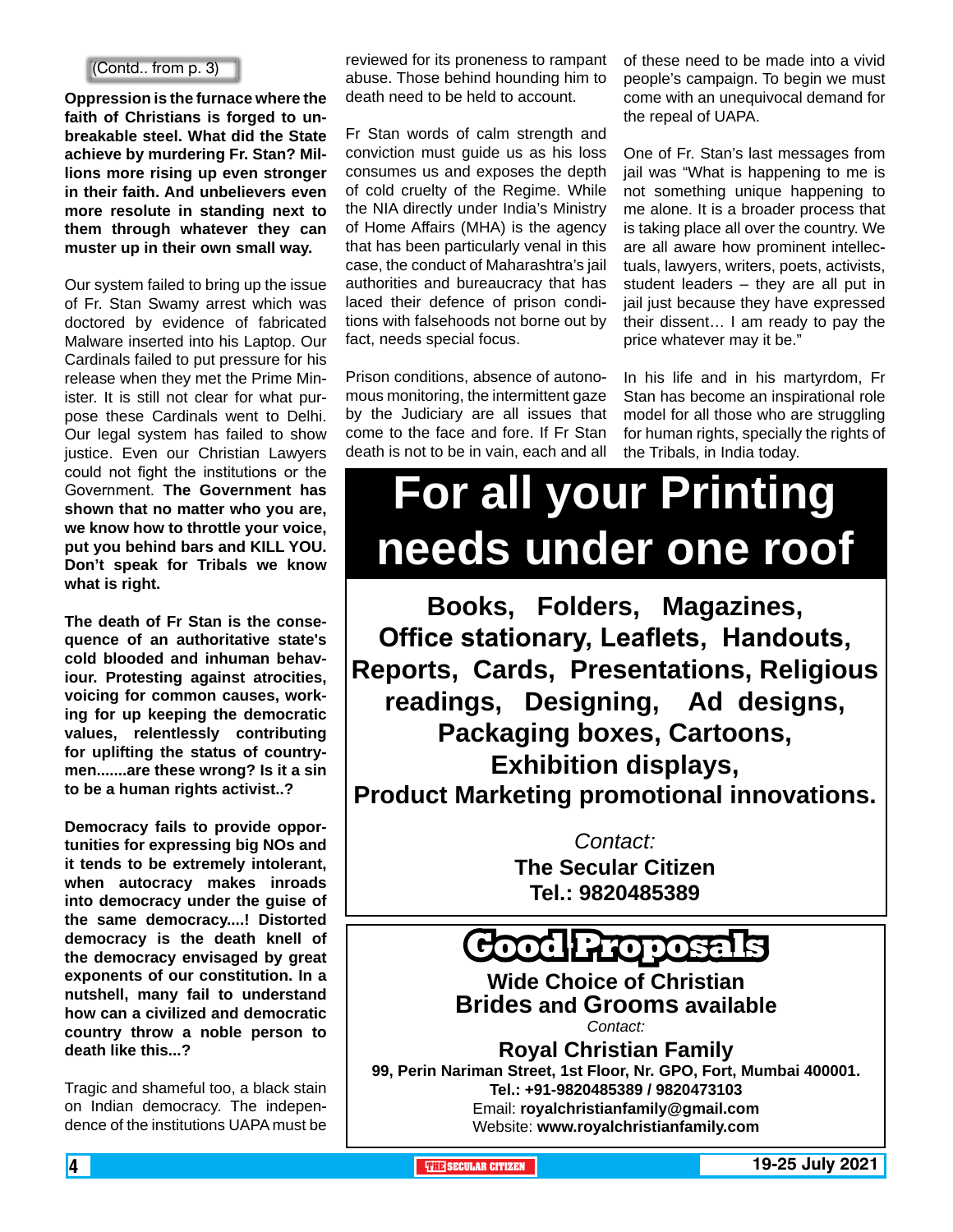#### (Contd.. from p. 3)

**Oppression is the furnace where the faith of Christians is forged to unbreakable steel. What did the State achieve by murdering Fr. Stan? Millions more rising up even stronger in their faith. And unbelievers even more resolute in standing next to them through whatever they can muster up in their own small way.**

Our system failed to bring up the issue of Fr. Stan Swamy arrest which was doctored by evidence of fabricated Malware inserted into his Laptop. Our Cardinals failed to put pressure for his release when they met the Prime Minister. It is still not clear for what purpose these Cardinals went to Delhi. Our legal system has failed to show justice. Even our Christian Lawyers could not fight the institutions or the Government. **The Government has shown that no matter who you are, we know how to throttle your voice, put you behind bars and KILL YOU. Don't speak for Tribals we know what is right.**

**The death of Fr Stan is the consequence of an authoritative state's cold blooded and inhuman behaviour. Protesting against atrocities, voicing for common causes, working for up keeping the democratic values, relentlessly contributing for uplifting the status of countrymen.......are these wrong? Is it a sin to be a human rights activist..?**

**Democracy fails to provide opportunities for expressing big NOs and it tends to be extremely intolerant, when autocracy makes inroads into democracy under the guise of the same democracy....! Distorted democracy is the death knell of the democracy envisaged by great exponents of our constitution. In a nutshell, many fail to understand how can a civilized and democratic country throw a noble person to death like this...?**

Tragic and shameful too, a black stain on Indian democracy. The independence of the institutions UAPA must be

reviewed for its proneness to rampant abuse. Those behind hounding him to death need to be held to account.

Fr Stan words of calm strength and conviction must guide us as his loss consumes us and exposes the depth of cold cruelty of the Regime. While the NIA directly under India's Ministry of Home Affairs (MHA) is the agency that has been particularly venal in this case, the conduct of Maharashtra's jail authorities and bureaucracy that has laced their defence of prison conditions with falsehoods not borne out by fact, needs special focus.

Prison conditions, absence of autonomous monitoring, the intermittent gaze by the Judiciary are all issues that come to the face and fore. If Fr Stan death is not to be in vain, each and all of these need to be made into a vivid people's campaign. To begin we must come with an unequivocal demand for the repeal of UAPA.

One of Fr. Stan's last messages from jail was "What is happening to me is not something unique happening to me alone. It is a broader process that is taking place all over the country. We are all aware how prominent intellectuals, lawyers, writers, poets, activists, student leaders – they are all put in jail just because they have expressed their dissent… I am ready to pay the price whatever may it be."

In his life and in his martyrdom, Fr Stan has become an inspirational role model for all those who are struggling for human rights, specially the rights of the Tribals, in India today.

## **For all your Printing needs under one roof**

**Books, Folders, Magazines, Office stationary, Leaflets, Handouts, Reports, Cards, Presentations, Religious readings, Designing, Ad designs, Packaging boxes, Cartoons, Exhibition displays, Product Marketing promotional innovations.**

> *Contact:* **The Secular Citizen Tel.: 9820485389**

## **Good Proposals**

**Wide Choice of Christian Brides and Grooms available** *Contact:*

**Royal Christian Family**

**99, Perin Nariman Street, 1st Floor, Nr. GPO, Fort, Mumbai 400001. Tel.: +91-9820485389 / 9820473103** Email: **royalchristianfamily@gmail.com** Website: **www.royalchristianfamily.com**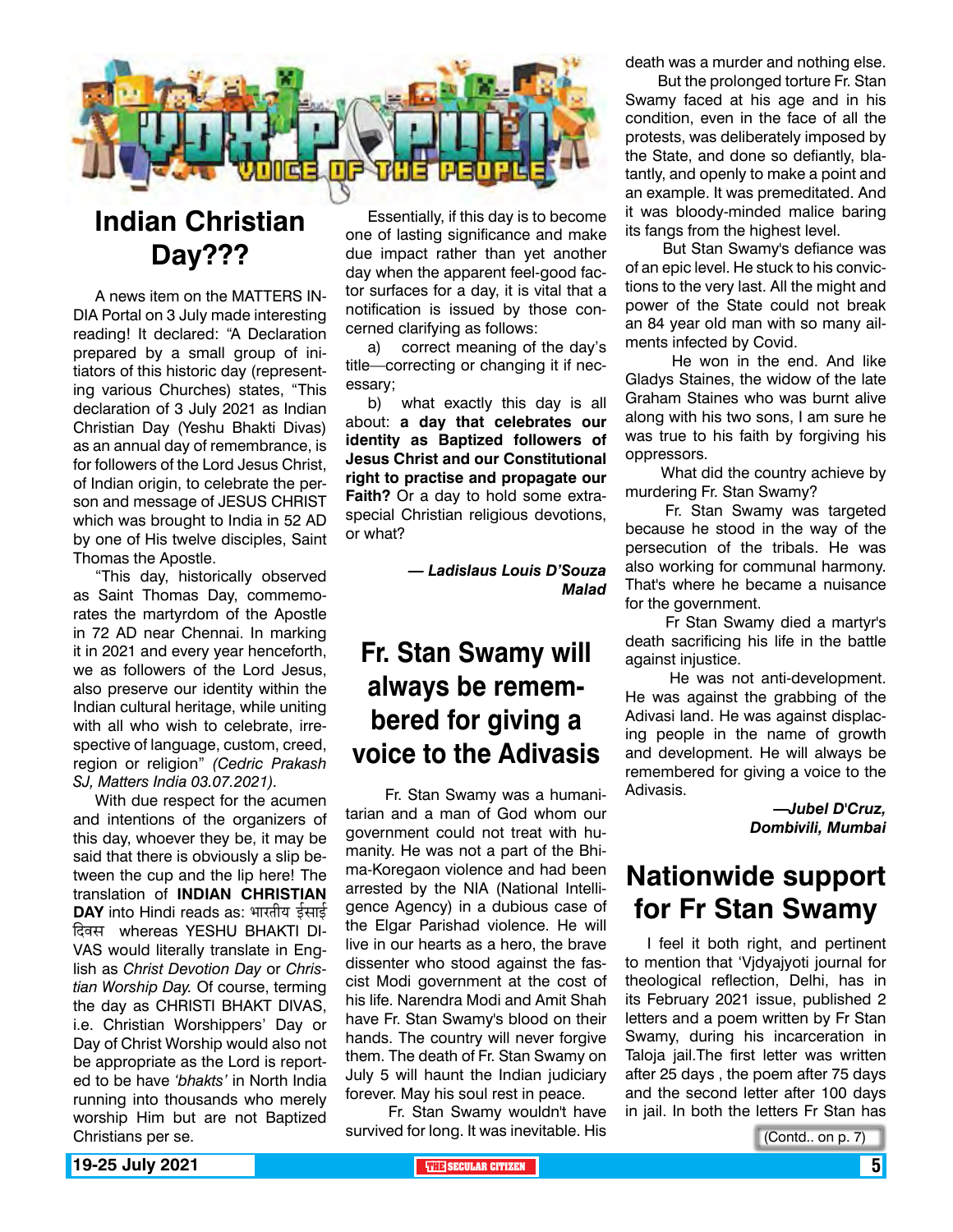

## **Indian Christian Day???**

A news item on the MATTERS IN-DIA Portal on 3 July made interesting reading! It declared: "A Declaration prepared by a small group of initiators of this historic day (representing various Churches) states, "This declaration of 3 July 2021 as Indian Christian Day (Yeshu Bhakti Divas) as an annual day of remembrance, is for followers of the Lord Jesus Christ, of Indian origin, to celebrate the person and message of JESUS CHRIST which was brought to India in 52 AD by one of His twelve disciples, Saint Thomas the Apostle.

"This day, historically observed as Saint Thomas Day, commemorates the martyrdom of the Apostle in 72 AD near Chennai. In marking it in 2021 and every year henceforth, we as followers of the Lord Jesus, also preserve our identity within the Indian cultural heritage, while uniting with all who wish to celebrate, irrespective of language, custom, creed, region or religion" *(Cedric Prakash SJ, Matters India 03.07.2021).*

With due respect for the acumen and intentions of the organizers of this day, whoever they be, it may be said that there is obviously a slip between the cup and the lip here! The translation of **INDIAN CHRISTIAN DAY** into Hindi reads as: भारतीय ईसाई दिवस whereas YESHU BHAKTI DI-VAS would literally translate in English as *Christ Devotion Day* or *Christian Worship Day.* Of course, terming the day as CHRISTI BHAKT DIVAS, i.e. Christian Worshippers' Day or Day of Christ Worship would also not be appropriate as the Lord is reported to be have *'bhakts'* in North India running into thousands who merely worship Him but are not Baptized Christians per se.

Essentially, if this day is to become one of lasting significance and make due impact rather than yet another day when the apparent feel-good factor surfaces for a day, it is vital that a notification is issued by those concerned clarifying as follows:

a) correct meaning of the day's title—correcting or changing it if necessary;

b) what exactly this day is all about: **a day that celebrates our identity as Baptized followers of Jesus Christ and our Constitutional right to practise and propagate our Faith?** Or a day to hold some extraspecial Christian religious devotions, or what?

> *— Ladislaus Louis D'Souza Malad*

## **Fr. Stan Swamy will always be remembered for giving a voice to the Adivasis**

 Fr. Stan Swamy was a humanitarian and a man of God whom our government could not treat with humanity. He was not a part of the Bhima-Koregaon violence and had been arrested by the NIA (National Intelligence Agency) in a dubious case of the Elgar Parishad violence. He will live in our hearts as a hero, the brave dissenter who stood against the fascist Modi government at the cost of his life. Narendra Modi and Amit Shah have Fr. Stan Swamy's blood on their hands. The country will never forgive them. The death of Fr. Stan Swamy on July 5 will haunt the Indian judiciary forever. May his soul rest in peace.

 Fr. Stan Swamy wouldn't have survived for long. It was inevitable. His

death was a murder and nothing else.

 But the prolonged torture Fr. Stan Swamy faced at his age and in his condition, even in the face of all the protests, was deliberately imposed by the State, and done so defiantly, blatantly, and openly to make a point and an example. It was premeditated. And it was bloody-minded malice baring its fangs from the highest level.

 But Stan Swamy's defiance was of an epic level. He stuck to his convictions to the very last. All the might and power of the State could not break an 84 year old man with so many ailments infected by Covid.

 He won in the end. And like Gladys Staines, the widow of the late Graham Staines who was burnt alive along with his two sons, I am sure he was true to his faith by forgiving his oppressors.

 What did the country achieve by murdering Fr. Stan Swamy?

 Fr. Stan Swamy was targeted because he stood in the way of the persecution of the tribals. He was also working for communal harmony. That's where he became a nuisance for the government.

 Fr Stan Swamy died a martyr's death sacrificing his life in the battle against injustice.

 He was not anti-development. He was against the grabbing of the Adivasi land. He was against displacing people in the name of growth and development. He will always be remembered for giving a voice to the Adivasis.

> *—Jubel D'Cruz, Dombivili, Mumbai*

## **Nationwide support for Fr Stan Swamy**

I feel it both right, and pertinent to mention that 'Vjdyajyoti journal for theological reflection, Delhi, has in its February 2021 issue, published 2 letters and a poem written by Fr Stan Swamy, during his incarceration in Taloja jail.The first letter was written after 25 days , the poem after 75 days and the second letter after 100 days in jail. In both the letters Fr Stan has

(Contd.. on p. 7)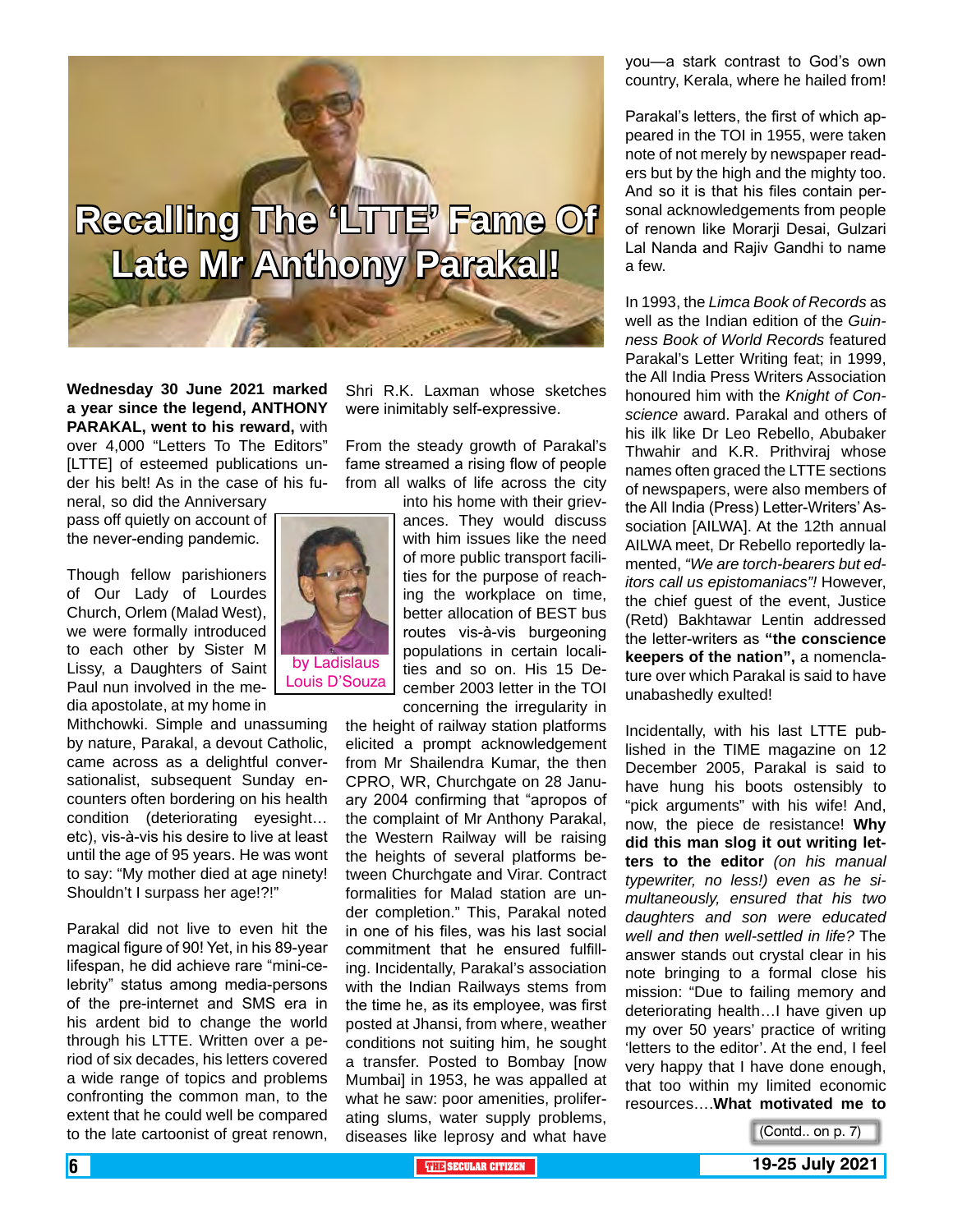## **Recalling The 'LTTE' Fame Of Late Mr Anthony Parakal!**

**Wednesday 30 June 2021 marked a year since the legend, ANTHONY PARAKAL, went to his reward,** with over 4,000 "Letters To The Editors" [LTTE] of esteemed publications under his belt! As in the case of his fu-

neral, so did the Anniversary pass off quietly on account of the never-ending pandemic.

Though fellow parishioners of Our Lady of Lourdes Church, Orlem (Malad West), we were formally introduced to each other by Sister M Lissy, a Daughters of Saint Paul nun involved in the media apostolate, at my home in

Mithchowki. Simple and unassuming by nature, Parakal, a devout Catholic, came across as a delightful conversationalist, subsequent Sunday encounters often bordering on his health condition (deteriorating eyesight… etc), vis-à-vis his desire to live at least until the age of 95 years. He was wont to say: "My mother died at age ninety! Shouldn't I surpass her age!?!"

Parakal did not live to even hit the magical figure of 90! Yet, in his 89-year lifespan, he did achieve rare "mini-celebrity" status among media-persons of the pre-internet and SMS era in his ardent bid to change the world through his LTTE. Written over a period of six decades, his letters covered a wide range of topics and problems confronting the common man, to the extent that he could well be compared to the late cartoonist of great renown,

Shri R.K. Laxman whose sketches were inimitably self-expressive.

From the steady growth of Parakal's fame streamed a rising flow of people from all walks of life across the city

into his home with their grievances. They would discuss with him issues like the need of more public transport facilities for the purpose of reaching the workplace on time, better allocation of BEST bus routes vis-à-vis burgeoning populations in certain localities and so on. His 15 December 2003 letter in the TOI concerning the irregularity in

the height of railway station platforms elicited a prompt acknowledgement from Mr Shailendra Kumar, the then CPRO, WR, Churchgate on 28 January 2004 confirming that "apropos of the complaint of Mr Anthony Parakal, the Western Railway will be raising the heights of several platforms between Churchgate and Virar. Contract formalities for Malad station are under completion." This, Parakal noted in one of his files, was his last social commitment that he ensured fulfilling. Incidentally, Parakal's association with the Indian Railways stems from the time he, as its employee, was first posted at Jhansi, from where, weather conditions not suiting him, he sought a transfer. Posted to Bombay [now Mumbai] in 1953, he was appalled at what he saw: poor amenities, proliferating slums, water supply problems, diseases like leprosy and what have

you—a stark contrast to God's own country, Kerala, where he hailed from!

Parakal's letters, the first of which appeared in the TOI in 1955, were taken note of not merely by newspaper readers but by the high and the mighty too. And so it is that his files contain personal acknowledgements from people of renown like Morarji Desai, Gulzari Lal Nanda and Rajiv Gandhi to name a few.

In 1993, the *Limca Book of Records* as well as the Indian edition of the *Guinness Book of World Records* featured Parakal's Letter Writing feat; in 1999, the All India Press Writers Association honoured him with the *Knight of Conscience* award. Parakal and others of his ilk like Dr Leo Rebello, Abubaker Thwahir and K.R. Prithviraj whose names often graced the LTTE sections of newspapers, were also members of the All India (Press) Letter-Writers' Association [AILWA]. At the 12th annual AILWA meet, Dr Rebello reportedly lamented, *"We are torch-bearers but editors call us epistomaniacs"!* However, the chief guest of the event, Justice (Retd) Bakhtawar Lentin addressed the letter-writers as **"the conscience keepers of the nation",** a nomenclature over which Parakal is said to have unabashedly exulted!

Incidentally, with his last LTTE published in the TIME magazine on 12 December 2005, Parakal is said to have hung his boots ostensibly to "pick arguments" with his wife! And, now, the piece de resistance! **Why did this man slog it out writing letters to the editor** *(on his manual typewriter, no less!) even as he simultaneously, ensured that his two daughters and son were educated well and then well-settled in life?* The answer stands out crystal clear in his note bringing to a formal close his mission: "Due to failing memory and deteriorating health…I have given up my over 50 years' practice of writing 'letters to the editor'. At the end, I feel very happy that I have done enough, that too within my limited economic resources….**What motivated me to** 

(Contd.. on p. 7)

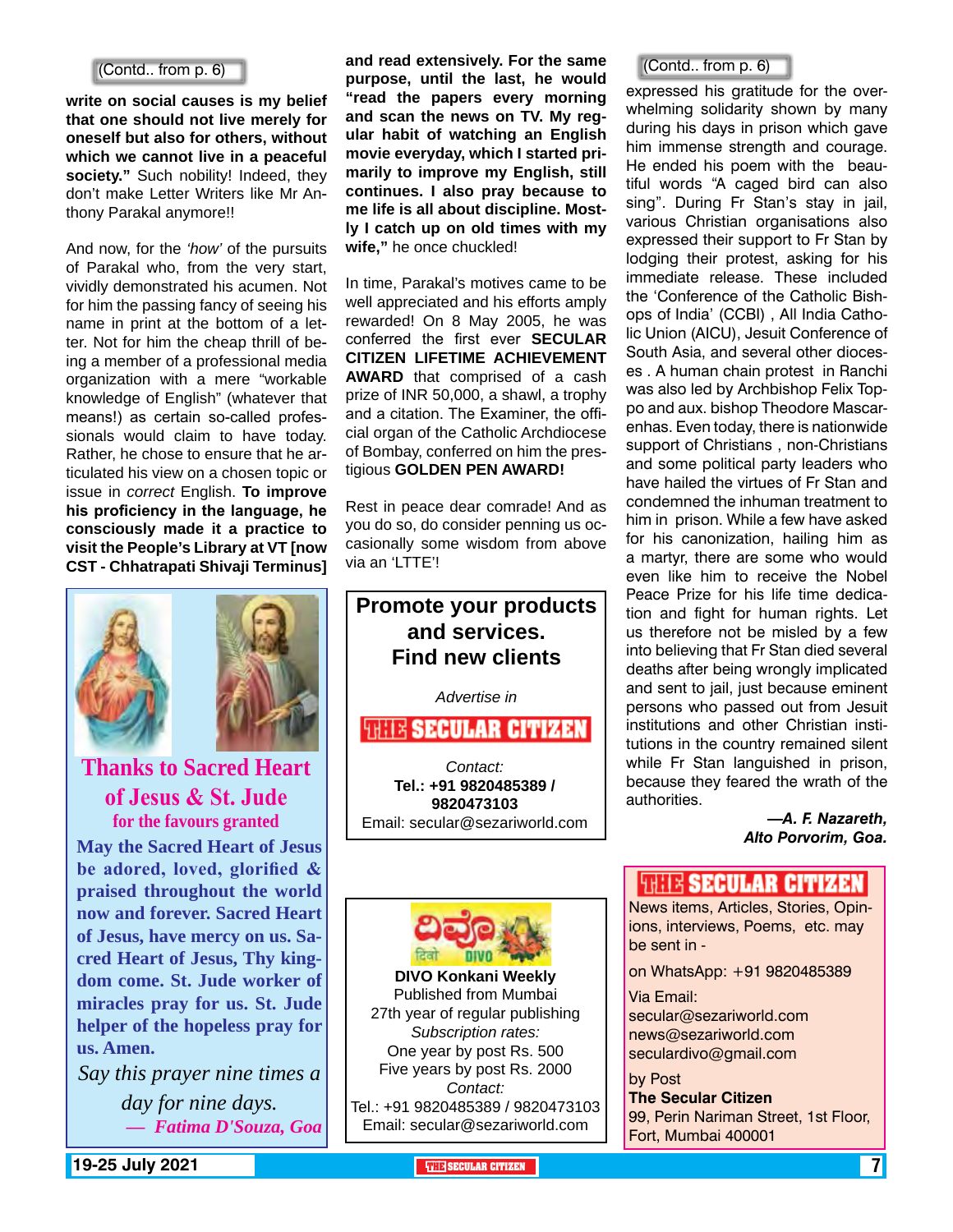#### (Contd.. from p. 6)

**write on social causes is my belief that one should not live merely for oneself but also for others, without which we cannot live in a peaceful society."** Such nobility! Indeed, they don't make Letter Writers like Mr Anthony Parakal anymore!!

And now, for the *'how'* of the pursuits of Parakal who, from the very start, vividly demonstrated his acumen. Not for him the passing fancy of seeing his name in print at the bottom of a letter. Not for him the cheap thrill of being a member of a professional media organization with a mere "workable knowledge of English" (whatever that means!) as certain so-called professionals would claim to have today. Rather, he chose to ensure that he articulated his view on a chosen topic or issue in *correct* English. **To improve his proficiency in the language, he consciously made it a practice to visit the People's Library at VT [now CST - Chhatrapati Shivaji Terminus]** 





### **Thanks to Sacred Heart of Jesus & St. Jude**

**May the Sacred Heart of Jesus be adored, loved, glorified & praised throughout the world now and forever. Sacred Heart of Jesus, have mercy on us. Sacred Heart of Jesus, Thy kingdom come. St. Jude worker of miracles pray for us. St. Jude helper of the hopeless pray for us. Amen. for the favours granted**

*Say this prayer nine times a day for nine days. — Fatima D'Souza, Goa*

and read extensively. For the same (Contd.. from p. 6) **purpose, until the last, he would "read the papers every morning and scan the news on TV. My regular habit of watching an English movie everyday, which I started primarily to improve my English, still continues. I also pray because to me life is all about discipline. Mostly I catch up on old times with my wife,"** he once chuckled!

In time, Parakal's motives came to be well appreciated and his efforts amply rewarded! On 8 May 2005, he was conferred the first ever **SECULAR CITIZEN LIFETIME ACHIEVEMENT AWARD** that comprised of a cash prize of INR 50,000, a shawl, a trophy and a citation. The Examiner, the official organ of the Catholic Archdiocese of Bombay, conferred on him the prestigious **GOLDEN PEN AWARD!**

Rest in peace dear comrade! And as you do so, do consider penning us occasionally some wisdom from above via an 'LTTE'!



expressed his gratitude for the overwhelming solidarity shown by many during his days in prison which gave him immense strength and courage. He ended his poem with the beautiful words "A caged bird can also sing". During Fr Stan's stay in jail, various Christian organisations also expressed their support to Fr Stan by lodging their protest, asking for his immediate release. These included the 'Conference of the Catholic Bishops of India' (CCBI) , All India Catholic Union (AICU), Jesuit Conference of South Asia, and several other dioceses . A human chain protest in Ranchi was also led by Archbishop Felix Toppo and aux. bishop Theodore Mascarenhas. Even today, there is nationwide support of Christians , non-Christians and some political party leaders who have hailed the virtues of Fr Stan and condemned the inhuman treatment to him in prison. While a few have asked for his canonization, hailing him as a martyr, there are some who would even like him to receive the Nobel Peace Prize for his life time dedication and fight for human rights. Let us therefore not be misled by a few into believing that Fr Stan died several deaths after being wrongly implicated and sent to jail, just because eminent persons who passed out from Jesuit institutions and other Christian institutions in the country remained silent while Fr Stan languished in prison, because they feared the wrath of the authorities.

> *—A. F. Nazareth, Alto Porvorim, Goa.*

*Subscription rates:* One year by post Rs. 500 Five years by post Rs. 2000 *Contact:*  Tel.: +91 9820485389 / 9820473103 Email: secular@sezariworld.com

### **THIR SECULAR CITIZEN**

News items, Articles, Stories, Opinions, interviews, Poems, etc. may be sent in -

on WhatsApp: +91 9820485389

Via Email: secular@sezariworld.com news@sezariworld.com seculardivo@gmail.com

by Post **The Secular Citizen** 99, Perin Nariman Street, 1st Floor, Fort, Mumbai 400001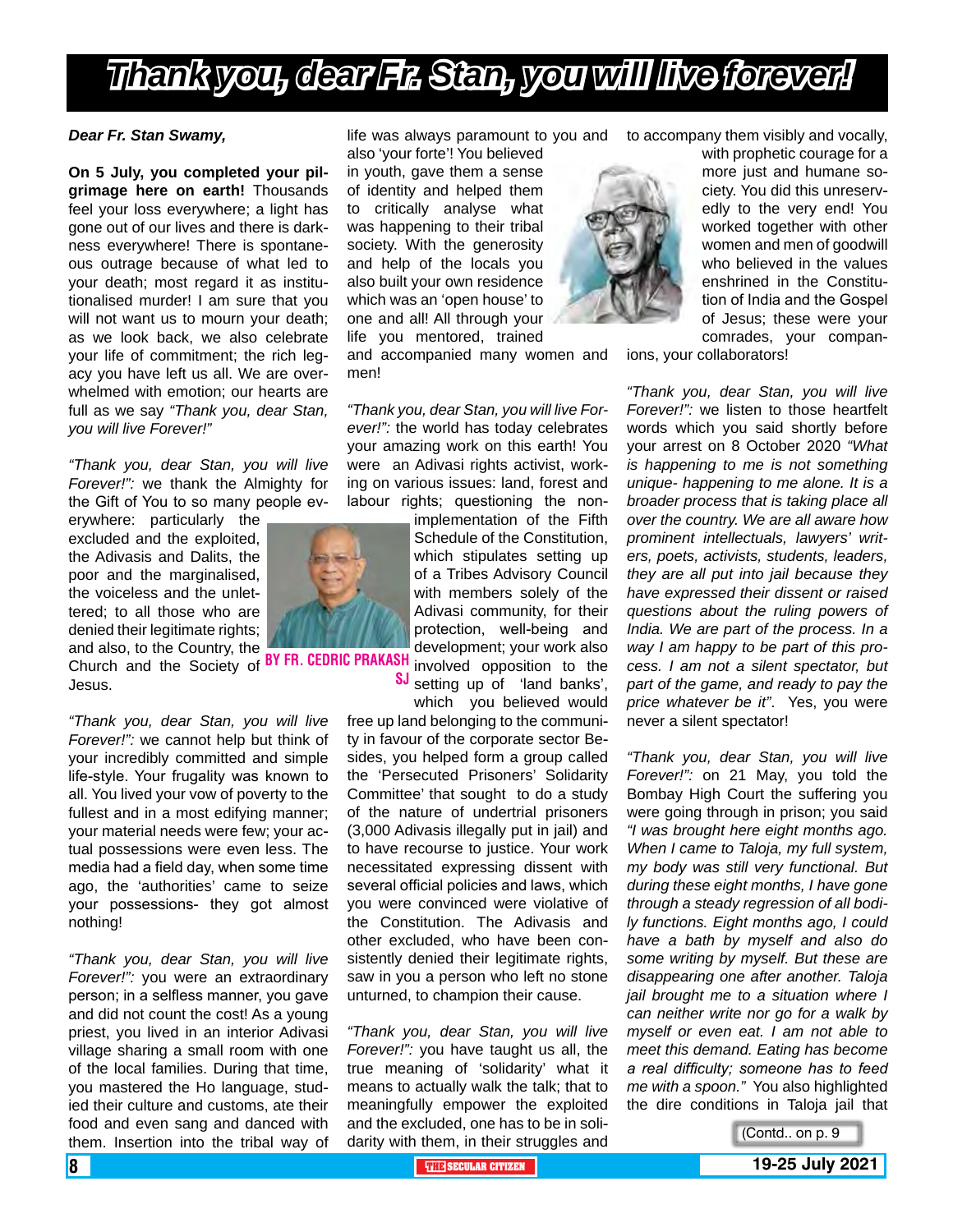## *Thank you, dear Fr. Stan, you will live forever!*

#### *Dear Fr. Stan Swamy,*

**On 5 July, you completed your pilgrimage here on earth!** Thousands feel your loss everywhere; a light has gone out of our lives and there is darkness everywhere! There is spontaneous outrage because of what led to your death; most regard it as institutionalised murder! I am sure that you will not want us to mourn your death; as we look back, we also celebrate your life of commitment; the rich legacy you have left us all. We are overwhelmed with emotion; our hearts are full as we say *"Thank you, dear Stan, you will live Forever!"*

*"Thank you, dear Stan, you will live Forever!":* we thank the Almighty for the Gift of You to so many people ev-

erywhere: particularly the excluded and the exploited, the Adivasis and Dalits, the poor and the marginalised, the voiceless and the unlettered; to all those who are denied their legitimate rights; and also, to the Country, the

Jesus.

*"Thank you, dear Stan, you will live Forever!":* we cannot help but think of your incredibly committed and simple life-style. Your frugality was known to all. You lived your vow of poverty to the fullest and in a most edifying manner; your material needs were few; your actual possessions were even less. The media had a field day, when some time ago, the 'authorities' came to seize your possessions- they got almost nothing!

*"Thank you, dear Stan, you will live Forever!":* you were an extraordinary person; in a selfless manner, you gave and did not count the cost! As a young priest, you lived in an interior Adivasi village sharing a small room with one of the local families. During that time, you mastered the Ho language, studied their culture and customs, ate their food and even sang and danced with them. Insertion into the tribal way of

life was always paramount to you and

also 'your forte'! You believed in youth, gave them a sense of identity and helped them to critically analyse what was happening to their tribal society. With the generosity and help of the locals you also built your own residence which was an 'open house' to one and all! All through your life you mentored, trained



to accompany them visibly and vocally,

with prophetic courage for a more just and humane society. You did this unreservedly to the very end! You worked together with other women and men of goodwill who believed in the values enshrined in the Constitution of India and the Gospel of Jesus; these were your comrades, your companions, your collaborators!

and accompanied many women and men!

*"Thank you, dear Stan, you will live Forever!":* the world has today celebrates your amazing work on this earth! You were an Adivasi rights activist, working on various issues: land, forest and labour rights; questioning the non-

implementation of the Fifth Schedule of the Constitution, which stipulates setting up of a Tribes Advisory Council with members solely of the Adivasi community, for their protection, well-being and development; your work also involved opposition to the SJ setting up of 'land banks', which you believed would

free up land belonging to the community in favour of the corporate sector Besides, you helped form a group called the 'Persecuted Prisoners' Solidarity Committee' that sought to do a study of the nature of undertrial prisoners (3,000 Adivasis illegally put in jail) and to have recourse to justice. Your work necessitated expressing dissent with several official policies and laws, which you were convinced were violative of the Constitution. The Adivasis and other excluded, who have been consistently denied their legitimate rights, saw in you a person who left no stone unturned, to champion their cause.

*"Thank you, dear Stan, you will live Forever!":* you have taught us all, the true meaning of 'solidarity' what it means to actually walk the talk; that to meaningfully empower the exploited and the excluded, one has to be in solidarity with them, in their struggles and

*"Thank you, dear Stan, you will live Forever!":* we listen to those heartfelt words which you said shortly before your arrest on 8 October 2020 *"What is happening to me is not something unique- happening to me alone. It is a broader process that is taking place all over the country. We are all aware how prominent intellectuals, lawyers' writers, poets, activists, students, leaders, they are all put into jail because they have expressed their dissent or raised questions about the ruling powers of India. We are part of the process. In a way I am happy to be part of this process. I am not a silent spectator, but part of the game, and ready to pay the price whatever be it"*. Yes, you were never a silent spectator!

*"Thank you, dear Stan, you will live Forever!":* on 21 May, you told the Bombay High Court the suffering you were going through in prison; you said *"I was brought here eight months ago. When I came to Taloja, my full system, my body was still very functional. But during these eight months, I have gone through a steady regression of all bodily functions. Eight months ago, I could have a bath by myself and also do some writing by myself. But these are disappearing one after another. Taloja jail brought me to a situation where I can neither write nor go for a walk by myself or even eat. I am not able to meet this demand. Eating has become a real difficulty; someone has to feed me with a spoon."* You also highlighted the dire conditions in Taloja jail that

(Contd.. on p. 9



Church and the Society of BY FR. CEDRIC PRAKA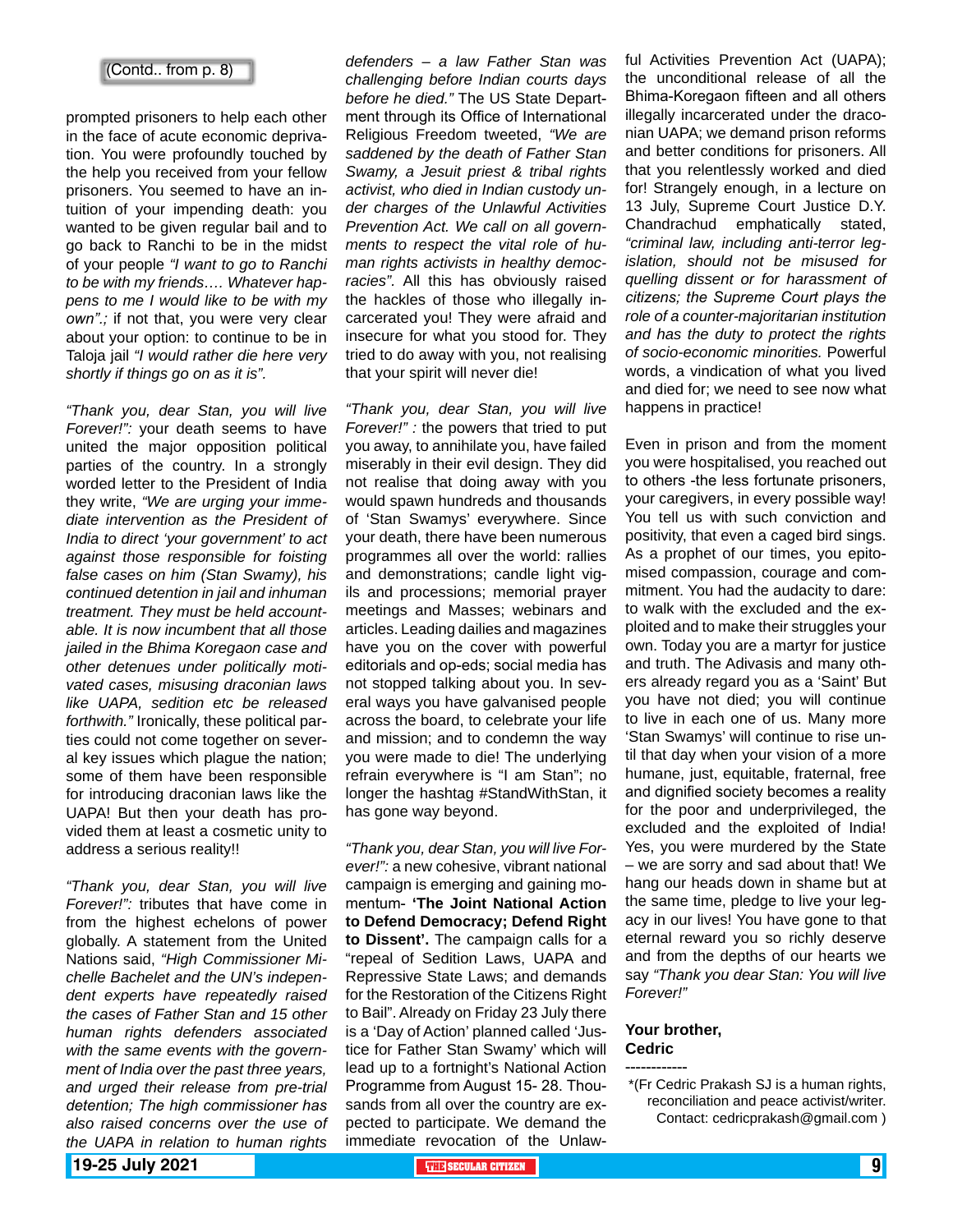

prompted prisoners to help each other in the face of acute economic deprivation. You were profoundly touched by the help you received from your fellow prisoners. You seemed to have an intuition of your impending death: you wanted to be given regular bail and to go back to Ranchi to be in the midst of your people *"I want to go to Ranchi to be with my friends…. Whatever happens to me I would like to be with my own".;* if not that, you were very clear about your option: to continue to be in Taloja jail *"I would rather die here very shortly if things go on as it is".*

*"Thank you, dear Stan, you will live Forever!":* your death seems to have united the major opposition political parties of the country. In a strongly worded letter to the President of India they write, *"We are urging your immediate intervention as the President of India to direct 'your government' to act against those responsible for foisting false cases on him (Stan Swamy), his continued detention in jail and inhuman treatment. They must be held accountable. It is now incumbent that all those jailed in the Bhima Koregaon case and other detenues under politically motivated cases, misusing draconian laws like UAPA, sedition etc be released forthwith."* Ironically, these political parties could not come together on several key issues which plague the nation; some of them have been responsible for introducing draconian laws like the UAPA! But then your death has provided them at least a cosmetic unity to address a serious reality!!

*"Thank you, dear Stan, you will live Forever!":* tributes that have come in from the highest echelons of power globally. A statement from the United Nations said, *"High Commissioner Michelle Bachelet and the UN's independent experts have repeatedly raised the cases of Father Stan and 15 other human rights defenders associated with the same events with the government of India over the past three years, and urged their release from pre-trial detention; The high commissioner has also raised concerns over the use of the UAPA in relation to human rights* 

*defenders – a law Father Stan was challenging before Indian courts days before he died."* The US State Department through its Office of International Religious Freedom tweeted, *"We are saddened by the death of Father Stan Swamy, a Jesuit priest & tribal rights activist, who died in Indian custody under charges of the Unlawful Activities Prevention Act. We call on all governments to respect the vital role of human rights activists in healthy democracies".* All this has obviously raised the hackles of those who illegally incarcerated you! They were afraid and insecure for what you stood for. They tried to do away with you, not realising that your spirit will never die!

*"Thank you, dear Stan, you will live Forever!" :* the powers that tried to put you away, to annihilate you, have failed miserably in their evil design. They did not realise that doing away with you would spawn hundreds and thousands of 'Stan Swamys' everywhere. Since your death, there have been numerous programmes all over the world: rallies and demonstrations; candle light vigils and processions; memorial prayer meetings and Masses; webinars and articles. Leading dailies and magazines have you on the cover with powerful editorials and op-eds; social media has not stopped talking about you. In several ways you have galvanised people across the board, to celebrate your life and mission; and to condemn the way you were made to die! The underlying refrain everywhere is "I am Stan"; no longer the hashtag #StandWithStan, it has gone way beyond.

*"Thank you, dear Stan, you will live Forever!":* a new cohesive, vibrant national campaign is emerging and gaining momentum- **'The Joint National Action to Defend Democracy; Defend Right to Dissent'.** The campaign calls for a "repeal of Sedition Laws, UAPA and Repressive State Laws; and demands for the Restoration of the Citizens Right to Bail". Already on Friday 23 July there is a 'Day of Action' planned called 'Justice for Father Stan Swamy' which will lead up to a fortnight's National Action Programme from August 15- 28. Thousands from all over the country are expected to participate. We demand the immediate revocation of the Unlawful Activities Prevention Act (UAPA); the unconditional release of all the Bhima-Koregaon fifteen and all others illegally incarcerated under the draconian UAPA; we demand prison reforms and better conditions for prisoners. All that you relentlessly worked and died for! Strangely enough, in a lecture on 13 July, Supreme Court Justice D.Y. Chandrachud emphatically stated, *"criminal law, including anti-terror legislation, should not be misused for quelling dissent or for harassment of citizens; the Supreme Court plays the role of a counter-majoritarian institution and has the duty to protect the rights of socio-economic minorities.* Powerful words, a vindication of what you lived and died for; we need to see now what happens in practice!

Even in prison and from the moment you were hospitalised, you reached out to others -the less fortunate prisoners, your caregivers, in every possible way! You tell us with such conviction and positivity, that even a caged bird sings. As a prophet of our times, you epitomised compassion, courage and commitment. You had the audacity to dare: to walk with the excluded and the exploited and to make their struggles your own. Today you are a martyr for justice and truth. The Adivasis and many others already regard you as a 'Saint' But you have not died; you will continue to live in each one of us. Many more 'Stan Swamys' will continue to rise until that day when your vision of a more humane, just, equitable, fraternal, free and dignified society becomes a reality for the poor and underprivileged, the excluded and the exploited of India! Yes, you were murdered by the State – we are sorry and sad about that! We hang our heads down in shame but at the same time, pledge to live your legacy in our lives! You have gone to that eternal reward you so richly deserve and from the depths of our hearts we say *"Thank you dear Stan: You will live Forever!"*

#### **Your brother, Cedric**

------------ \*(Fr Cedric Prakash SJ is a human rights, reconciliation and peace activist/writer. Contact: cedricprakash@gmail.com )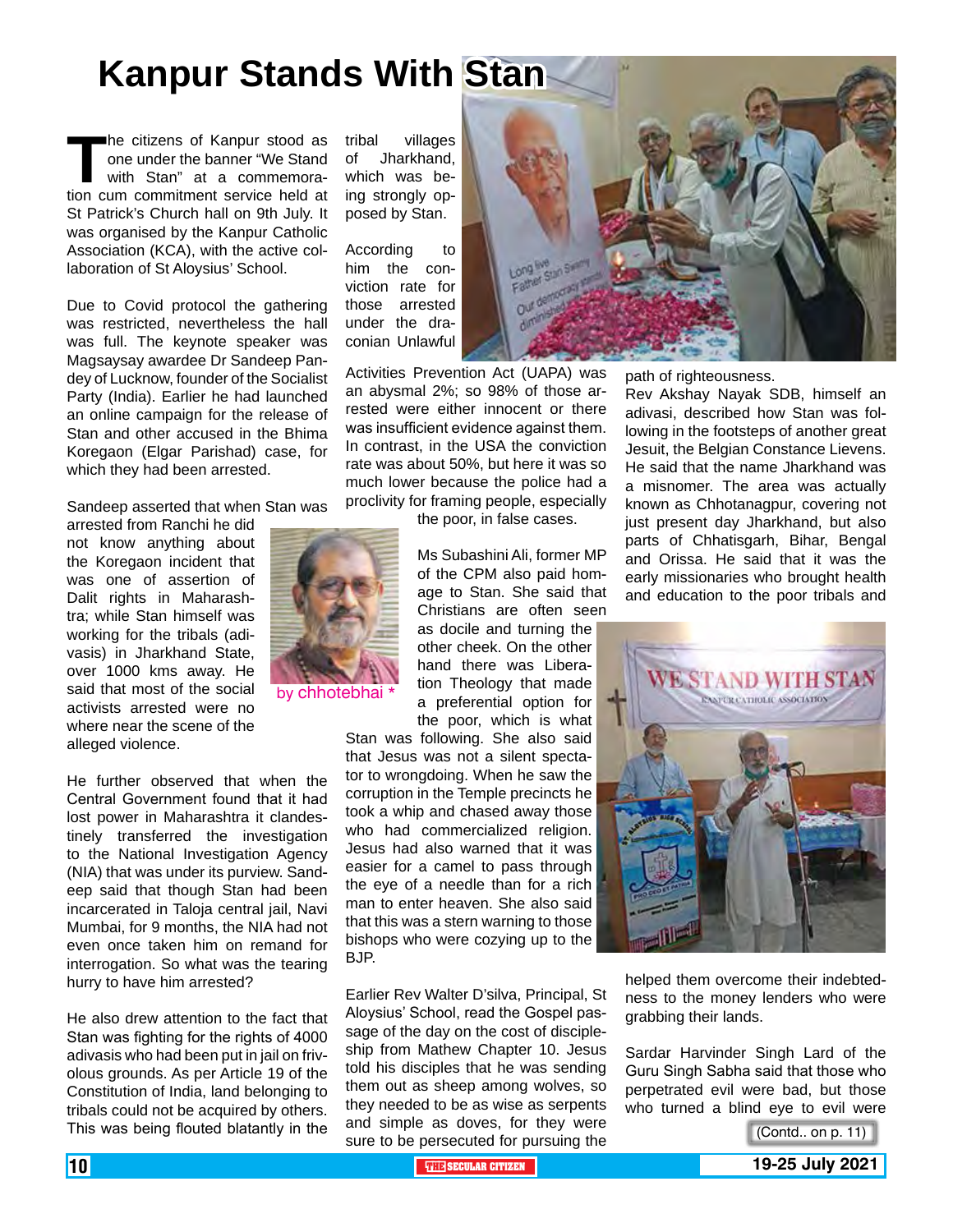## **Kanpur Stands With Stan**

The citizens of Kanpur stood as<br>
one under the banner "We Stand<br>
with Stan" at a commemora-<br>
tion cum commitment service held at one under the banner "We Stand with Stan" at a commemora-St Patrick's Church hall on 9th July. It was organised by the Kanpur Catholic Association (KCA), with the active collaboration of St Aloysius' School.

Due to Covid protocol the gathering was restricted, nevertheless the hall was full. The keynote speaker was Magsaysay awardee Dr Sandeep Pandey of Lucknow, founder of the Socialist Party (India). Earlier he had launched an online campaign for the release of Stan and other accused in the Bhima Koregaon (Elgar Parishad) case, for which they had been arrested.

Sandeep asserted that when Stan was

arrested from Ranchi he did not know anything about the Koregaon incident that was one of assertion of Dalit rights in Maharashtra; while Stan himself was working for the tribals (adivasis) in Jharkhand State, over 1000 kms away. He said that most of the social activists arrested were no where near the scene of the alleged violence.

He further observed that when the Central Government found that it had lost power in Maharashtra it clandestinely transferred the investigation to the National Investigation Agency (NIA) that was under its purview. Sandeep said that though Stan had been incarcerated in Taloja central jail, Navi Mumbai, for 9 months, the NIA had not even once taken him on remand for interrogation. So what was the tearing hurry to have him arrested?

He also drew attention to the fact that Stan was fighting for the rights of 4000 adivasis who had been put in jail on frivolous grounds. As per Article 19 of the Constitution of India, land belonging to tribals could not be acquired by others. This was being flouted blatantly in the

tribal villages of Jharkhand, which was being strongly opposed by Stan.

According to him the conviction rate for those arrested under the draconian Unlawful

Activities Prevention Act (UAPA) was an abysmal 2%; so 98% of those arrested were either innocent or there was insufficient evidence against them. In contrast, in the USA the conviction rate was about 50%, but here it was so much lower because the police had a proclivity for framing people, especially

the poor, in false cases.

Ms Subashini Ali, former MP of the CPM also paid homage to Stan. She said that Christians are often seen as docile and turning the other cheek. On the other hand there was Liberation Theology that made a preferential option for the poor, which is what

Stan was following. She also said that Jesus was not a silent spectator to wrongdoing. When he saw the corruption in the Temple precincts he took a whip and chased away those who had commercialized religion. Jesus had also warned that it was easier for a camel to pass through the eye of a needle than for a rich man to enter heaven. She also said that this was a stern warning to those bishops who were cozying up to the BJP.

Earlier Rev Walter D'silva, Principal, St Aloysius' School, read the Gospel passage of the day on the cost of discipleship from Mathew Chapter 10. Jesus told his disciples that he was sending them out as sheep among wolves, so they needed to be as wise as serpents and simple as doves, for they were sure to be persecuted for pursuing the



path of righteousness.

Rev Akshay Nayak SDB, himself an adivasi, described how Stan was following in the footsteps of another great Jesuit, the Belgian Constance Lievens. He said that the name Jharkhand was a misnomer. The area was actually known as Chhotanagpur, covering not just present day Jharkhand, but also parts of Chhatisgarh, Bihar, Bengal and Orissa. He said that it was the early missionaries who brought health and education to the poor tribals and



helped them overcome their indebtedness to the money lenders who were grabbing their lands.

Sardar Harvinder Singh Lard of the Guru Singh Sabha said that those who perpetrated evil were bad, but those who turned a blind eye to evil were

(Contd.. on p. 11)

10 **THE SECULAR CITIZEN 19-25 July 2021**



by chhotebhai \*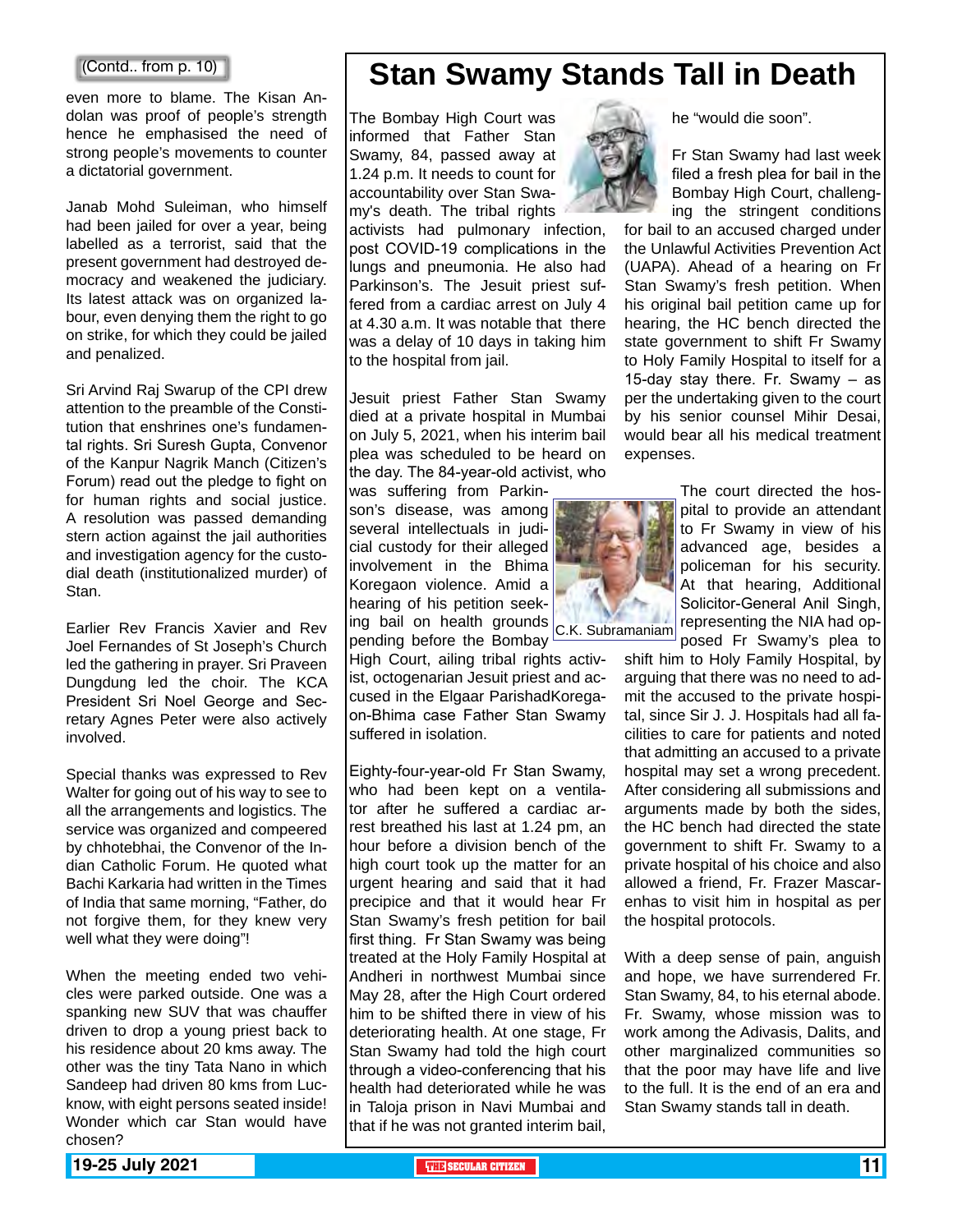#### (Contd.. from p. 10)

even more to blame. The Kisan Andolan was proof of people's strength hence he emphasised the need of strong people's movements to counter a dictatorial government.

Janab Mohd Suleiman, who himself had been jailed for over a year, being labelled as a terrorist, said that the present government had destroyed democracy and weakened the judiciary. Its latest attack was on organized labour, even denying them the right to go on strike, for which they could be jailed and penalized.

Sri Arvind Raj Swarup of the CPI drew attention to the preamble of the Constitution that enshrines one's fundamental rights. Sri Suresh Gupta, Convenor of the Kanpur Nagrik Manch (Citizen's Forum) read out the pledge to fight on for human rights and social justice. A resolution was passed demanding stern action against the jail authorities and investigation agency for the custodial death (institutionalized murder) of Stan.

Earlier Rev Francis Xavier and Rev Joel Fernandes of St Joseph's Church led the gathering in prayer. Sri Praveen Dungdung led the choir. The KCA President Sri Noel George and Secretary Agnes Peter were also actively involved.

Special thanks was expressed to Rev Walter for going out of his way to see to all the arrangements and logistics. The service was organized and compeered by chhotebhai, the Convenor of the Indian Catholic Forum. He quoted what Bachi Karkaria had written in the Times of India that same morning, "Father, do not forgive them, for they knew very well what they were doing"!

When the meeting ended two vehicles were parked outside. One was a spanking new SUV that was chauffer driven to drop a young priest back to his residence about 20 kms away. The other was the tiny Tata Nano in which Sandeep had driven 80 kms from Lucknow, with eight persons seated inside! Wonder which car Stan would have chosen?

## **Stan Swamy Stands Tall in Death**

The Bombay High Court was informed that Father Stan Swamy, 84, passed away at 1.24 p.m. It needs to count for accountability over Stan Swamy's death. The tribal rights

activists had pulmonary infection, post COVID-19 complications in the lungs and pneumonia. He also had Parkinson's. The Jesuit priest suffered from a cardiac arrest on July 4 at 4.30 a.m. It was notable that there was a delay of 10 days in taking him to the hospital from jail.

Jesuit priest Father Stan Swamy died at a private hospital in Mumbai on July 5, 2021, when his interim bail plea was scheduled to be heard on the day. The 84-year-old activist, who

was suffering from Parkinson's disease, was among several intellectuals in judicial custody for their alleged involvement in the Bhima Koregaon violence. Amid a hearing of his petition seeking bail on health grounds pending before the Bombay

High Court, ailing tribal rights activist, octogenarian Jesuit priest and accused in the Elgaar ParishadKoregaon-Bhima case Father Stan Swamy suffered in isolation.

Eighty-four-year-old Fr Stan Swamy, who had been kept on a ventilator after he suffered a cardiac arrest breathed his last at 1.24 pm, an hour before a division bench of the high court took up the matter for an urgent hearing and said that it had precipice and that it would hear Fr Stan Swamy's fresh petition for bail first thing. Fr Stan Swamy was being treated at the Holy Family Hospital at Andheri in northwest Mumbai since May 28, after the High Court ordered him to be shifted there in view of his deteriorating health. At one stage, Fr Stan Swamy had told the high court through a video-conferencing that his health had deteriorated while he was in Taloja prison in Navi Mumbai and that if he was not granted interim bail,



he "would die soon".

Fr Stan Swamy had last week filed a fresh plea for bail in the Bombay High Court, challenging the stringent conditions

for bail to an accused charged under the Unlawful Activities Prevention Act (UAPA). Ahead of a hearing on Fr Stan Swamy's fresh petition. When his original bail petition came up for hearing, the HC bench directed the state government to shift Fr Swamy to Holy Family Hospital to itself for a 15-day stay there. Fr. Swamy – as per the undertaking given to the court by his senior counsel Mihir Desai, would bear all his medical treatment expenses.



C.K. Subramaniam

posed Fr Swamy's plea to shift him to Holy Family Hospital, by arguing that there was no need to admit the accused to the private hospital, since Sir J. J. Hospitals had all facilities to care for patients and noted that admitting an accused to a private hospital may set a wrong precedent. After considering all submissions and arguments made by both the sides, the HC bench had directed the state government to shift Fr. Swamy to a private hospital of his choice and also allowed a friend, Fr. Frazer Mascarenhas to visit him in hospital as per the hospital protocols.

With a deep sense of pain, anguish and hope, we have surrendered Fr. Stan Swamy, 84, to his eternal abode. Fr. Swamy, whose mission was to work among the Adivasis, Dalits, and other marginalized communities so that the poor may have life and live to the full. It is the end of an era and Stan Swamy stands tall in death.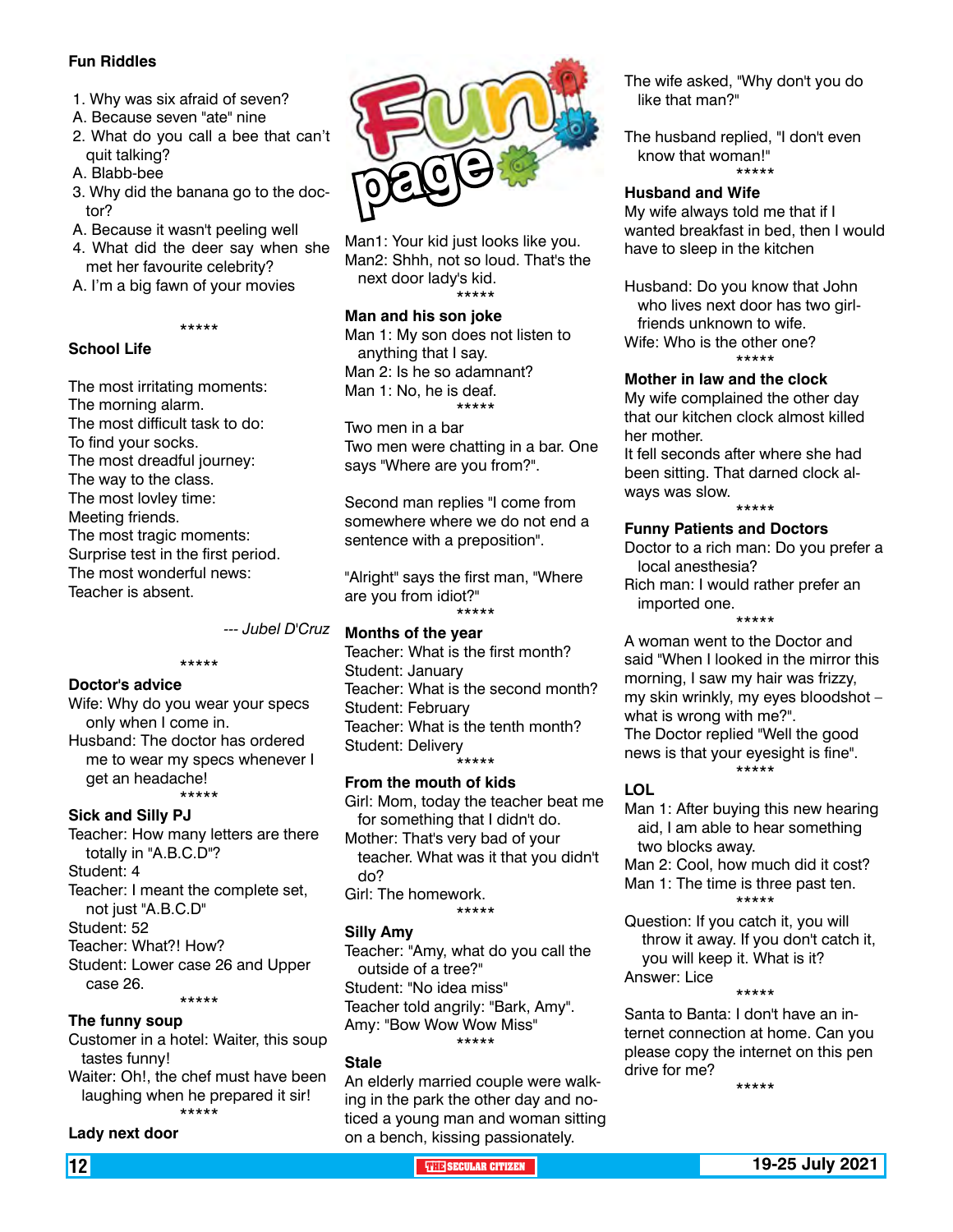#### **Fun Riddles**

- 1. Why was six afraid of seven?
- A. Because seven "ate" nine
- 2. What do you call a bee that can't quit talking?
- A. Blabb-bee
- 3. Why did the banana go to the doctor?
- A. Because it wasn't peeling well
- 4. What did the deer say when she met her favourite celebrity?
- A. I'm a big fawn of your movies

#### \*\*\*\*\*

#### **School Life**

The most irritating moments: The morning alarm. The most difficult task to do: To find your socks. The most dreadful journey: The way to the class. The most lovley time: Meeting friends. The most tragic moments: Surprise test in the first period. The most wonderful news: Teacher is absent.

*--- Jubel D'Cruz*

#### **Doctor's advice**

Wife: Why do you wear your specs only when I come in. Husband: The doctor has ordered me to wear my specs whenever I get an headache!

\*\*\*\*\*

\*\*\*\*\* **Sick and Silly PJ**

Teacher: How many letters are there totally in "A.B.C.D"? Student: 4 Teacher: I meant the complete set, not just "A.B.C.D" Student: 52 Teacher: What?! How? Student: Lower case 26 and Upper case 26. \*\*\*\*\*

#### **The funny soup**

Customer in a hotel: Waiter, this soup tastes funny!

Waiter: Oh!, the chef must have been laughing when he prepared it sir! \*\*\*\*\*

#### **Lady next door**



Man1: Your kid just looks like you. Man2: Shhh, not so loud. That's the next door lady's kid. \*\*\*\*\*

#### **Man and his son joke**

Man 1: My son does not listen to anything that I say. Man 2: Is he so adamnant? Man 1: No, he is deaf. \*\*\*\*\*

Two men in a bar Two men were chatting in a bar. One says "Where are you from?".

Second man replies "I come from somewhere where we do not end a sentence with a preposition".

"Alright" says the first man, "Where are you from idiot?" \*\*\*\*\*

#### **Months of the year**

Teacher: What is the first month? Student: January Teacher: What is the second month? Student: February Teacher: What is the tenth month? Student: Delivery \*\*\*\*\*

#### **From the mouth of kids**

Girl: Mom, today the teacher beat me for something that I didn't do. Mother: That's very bad of your teacher. What was it that you didn't do? Girl: The homework. \*\*\*\*\*

#### **Silly Amy**

Teacher: "Amy, what do you call the outside of a tree?" Student: "No idea miss" Teacher told angrily: "Bark, Amy". Amy: "Bow Wow Wow Miss" \*\*\*\*\*

#### **Stale**

An elderly married couple were walking in the park the other day and noticed a young man and woman sitting on a bench, kissing passionately.

The wife asked, "Why don't you do like that man?"

The husband replied, "I don't even know that woman!" \*\*\*\*\*

#### **Husband and Wife**

My wife always told me that if I wanted breakfast in bed, then I would have to sleep in the kitchen

Husband: Do you know that John who lives next door has two girlfriends unknown to wife. Wife: Who is the other one?

\*\*\*\*\*

#### **Mother in law and the clock**

My wife complained the other day that our kitchen clock almost killed her mother.

It fell seconds after where she had been sitting. That darned clock always was slow.

\*\*\*\*\*

#### **Funny Patients and Doctors**

Doctor to a rich man: Do you prefer a local anesthesia? Rich man: I would rather prefer an imported one.

\*\*\*\*\*

A woman went to the Doctor and said "When I looked in the mirror this morning, I saw my hair was frizzy, my skin wrinkly, my eyes bloodshot – what is wrong with me?". The Doctor replied "Well the good news is that your eyesight is fine". \*\*\*\*\*

#### **LOL**

Man 1: After buying this new hearing aid, I am able to hear something two blocks away.

Man 2: Cool, how much did it cost? Man 1: The time is three past ten. \*\*\*\*\*

Question: If you catch it, you will throw it away. If you don't catch it, you will keep it. What is it? Answer: Lice

\*\*\*\*\*

Santa to Banta: I don't have an internet connection at home. Can you please copy the internet on this pen drive for me?

\*\*\*\*\*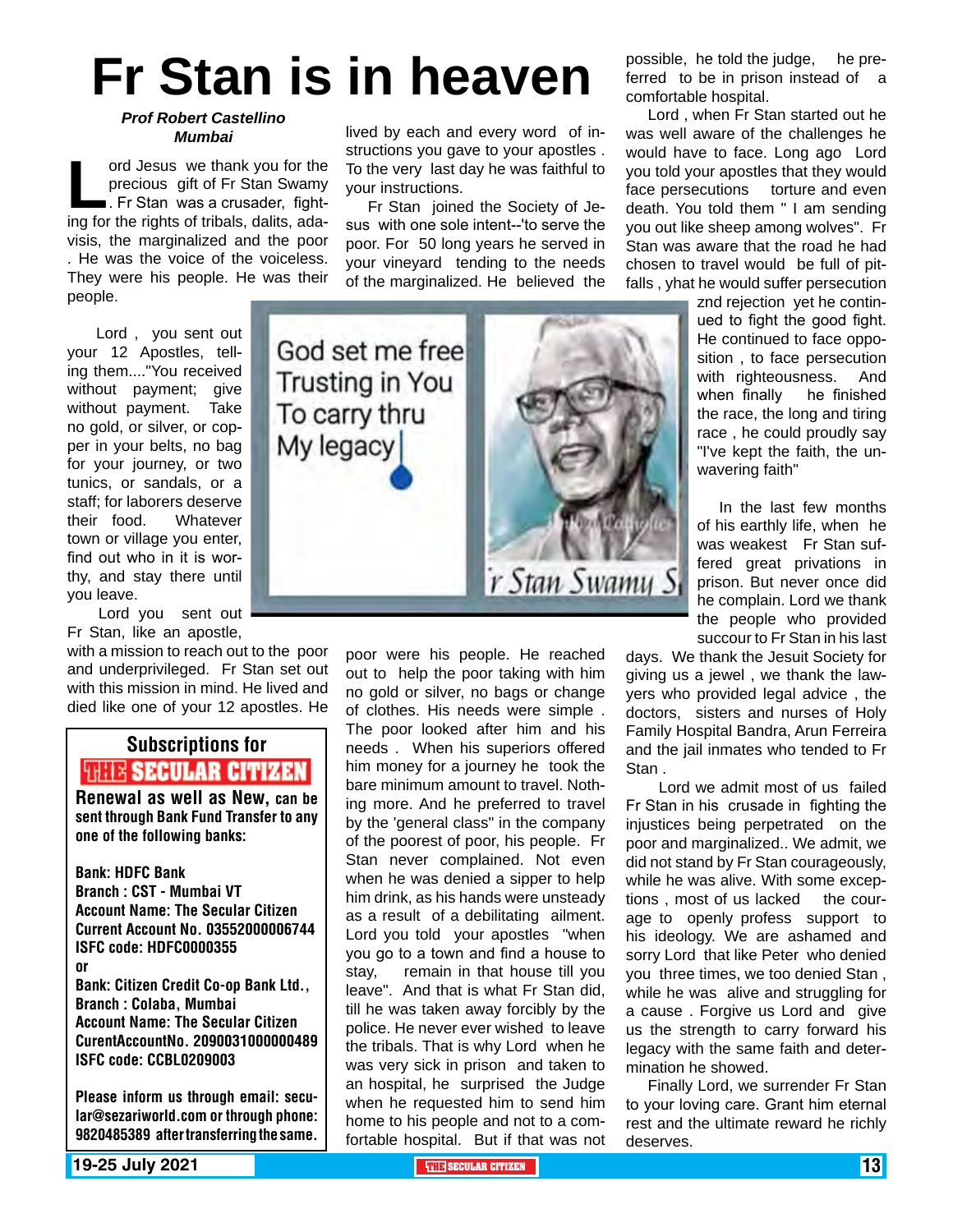## **Fr Stan is in heaven**

#### *Prof Robert Castellino Mumbai*

ord Jesus we thank you for the<br>precious gift of Fr Stan Swamy<br>Fr Stan was a crusader, fight-<br>ing for the rights of tribals, dalits, adaprecious gift of Fr Stan Swamy . Fr Stan was a crusader, fighting for the rights of tribals, dalits, adavisis, the marginalized and the poor . He was the voice of the voiceless. They were his people. He was their people.

 Lord , you sent out your 12 Apostles, telling them...."You received without payment; give without payment. Take no gold, or silver, or copper in your belts, no bag for your journey, or two tunics, or sandals, or a staff; for laborers deserve their food. Whatever town or village you enter, find out who in it is worthy, and stay there until you leave.

 Lord you sent out Fr Stan, like an apostle,

with a mission to reach out to the poor and underprivileged. Fr Stan set out with this mission in mind. He lived and died like one of your 12 apostles. He

## Subscriptions for **RENEW SECULAR CITIZEN**<br>Renewal as well as New, can be

sent through Bank Fund Transfer to any one of the following banks:

Bank: HDFC Bank Branch : CST - Mumbai VT Account Name: The Secular Citizen Current Account No. 03552000006744 ISFC code: HDFC0000355 or Bank: Citizen Credit Co-op Bank Ltd., Branch : Colaba, Mumbai Account Name: The Secular Citizen CurentAccountNo. 2090031000000489 ISFC code: CCBL0209003

Please inform us through email: secular@sezariworld.com or through phone: 9820485389 after transferring the same.

lived by each and every word of instructions you gave to your apostles . To the very last day he was faithful to your instructions.

Fr Stan joined the Society of Jesus with one sole intent--'to serve the poor. For 50 long years he served in your vineyard tending to the needs of the marginalized. He believed the possible, he told the judge, he preferred to be in prison instead of a comfortable hospital.

Lord , when Fr Stan started out he was well aware of the challenges he would have to face. Long ago Lord you told your apostles that they would face persecutions torture and even death. You told them " I am sending you out like sheep among wolves". Fr Stan was aware that the road he had chosen to travel would be full of pitfalls , yhat he would suffer persecution

> znd rejection yet he continued to fight the good fight. He continued to face opposition , to face persecution with righteousness. And when finally he finished the race, the long and tiring race , he could proudly say "I've kept the faith, the unwavering faith"

> In the last few months of his earthly life, when he was weakest Fr Stan suffered great privations in prison. But never once did he complain. Lord we thank the people who provided succour to Fr Stan in his last

days. We thank the Jesuit Society for giving us a jewel , we thank the lawyers who provided legal advice , the doctors, sisters and nurses of Holy Family Hospital Bandra, Arun Ferreira and the jail inmates who tended to Fr Stan .

 Lord we admit most of us failed Fr Stan in his crusade in fighting the injustices being perpetrated on the poor and marginalized.. We admit, we did not stand by Fr Stan courageously, while he was alive. With some exceptions , most of us lacked the courage to openly profess support to his ideology. We are ashamed and sorry Lord that like Peter who denied you three times, we too denied Stan , while he was alive and struggling for a cause . Forgive us Lord and give us the strength to carry forward his legacy with the same faith and determination he showed.

Finally Lord, we surrender Fr Stan to your loving care. Grant him eternal rest and the ultimate reward he richly deserves.



poor were his people. He reached out to help the poor taking with him no gold or silver, no bags or change of clothes. His needs were simple . The poor looked after him and his needs . When his superiors offered him money for a journey he took the bare minimum amount to travel. Nothing more. And he preferred to travel by the 'general class" in the company of the poorest of poor, his people. Fr Stan never complained. Not even when he was denied a sipper to help him drink, as his hands were unsteady as a result of a debilitating ailment. Lord you told your apostles "when you go to a town and find a house to stay, remain in that house till you leave". And that is what Fr Stan did, till he was taken away forcibly by the police. He never ever wished to leave the tribals. That is why Lord when he was very sick in prison and taken to an hospital, he surprised the Judge when he requested him to send him home to his people and not to a comfortable hospital. But if that was not

**19-25 July 2021 THE THE THE THE SECULAR CITIZEN THE SECULAR CITIZEN THE THE SECULAR CITIZEN**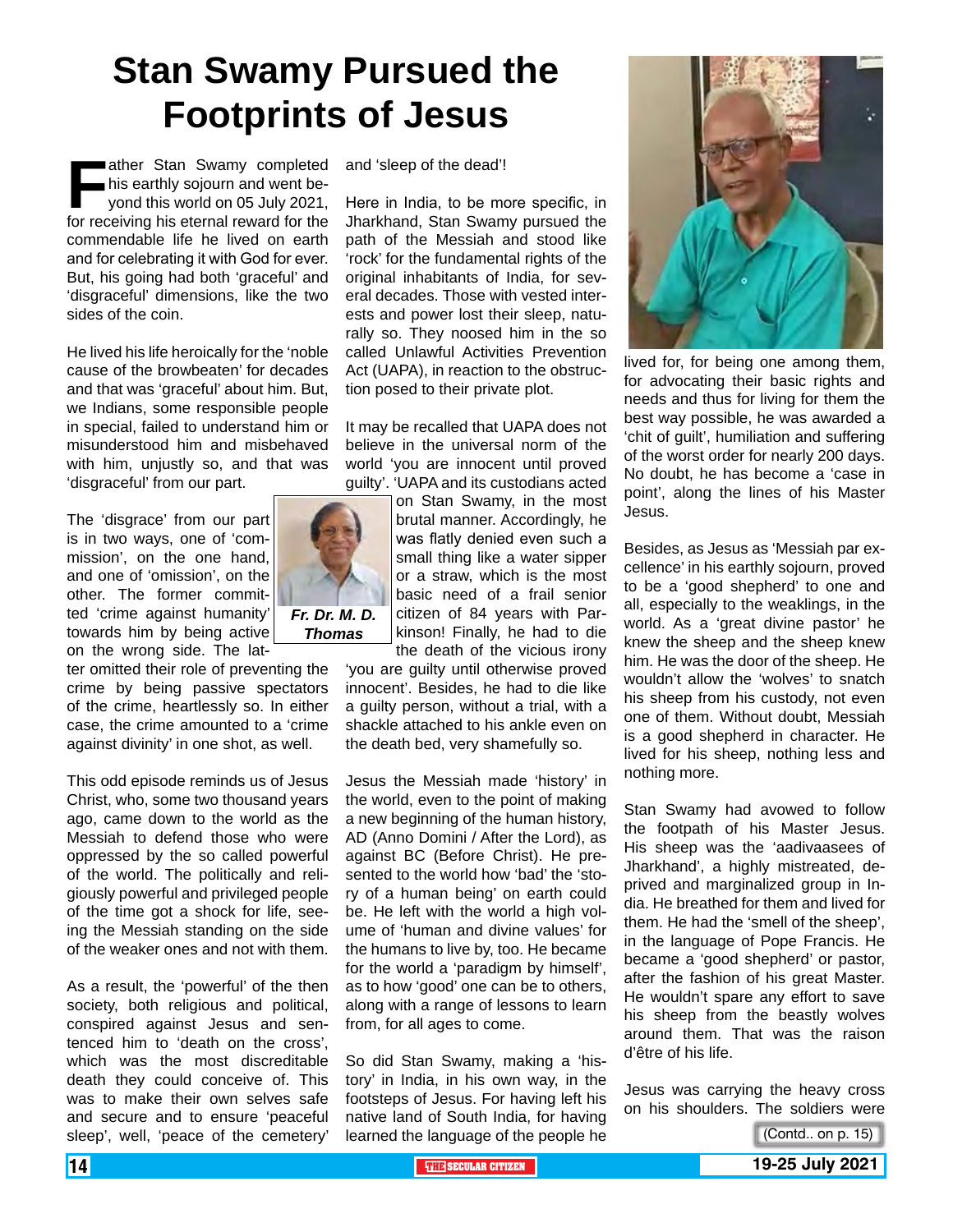## **Stan Swamy Pursued the Footprints of Jesus**

**Father Stan Swamy completed**<br>his earthly sojourn and went be-<br>yond this world on 05 July 2021,<br>for receiving his eternal reward for the his earthly sojourn and went beyond this world on 05 July 2021, for receiving his eternal reward for the commendable life he lived on earth and for celebrating it with God for ever. But, his going had both 'graceful' and 'disgraceful' dimensions, like the two sides of the coin.

He lived his life heroically for the 'noble cause of the browbeaten' for decades and that was 'graceful' about him. But, we Indians, some responsible people in special, failed to understand him or misunderstood him and misbehaved with him, unjustly so, and that was 'disgraceful' from our part.

The 'disgrace' from our part is in two ways, one of 'commission', on the one hand, and one of 'omission', on the other. The former committed 'crime against humanity' towards him by being active on the wrong side. The lat-

ter omitted their role of preventing the crime by being passive spectators of the crime, heartlessly so. In either case, the crime amounted to a 'crime against divinity' in one shot, as well.

This odd episode reminds us of Jesus Christ, who, some two thousand years ago, came down to the world as the Messiah to defend those who were oppressed by the so called powerful of the world. The politically and religiously powerful and privileged people of the time got a shock for life, seeing the Messiah standing on the side of the weaker ones and not with them.

As a result, the 'powerful' of the then society, both religious and political, conspired against Jesus and sentenced him to 'death on the cross', which was the most discreditable death they could conceive of. This was to make their own selves safe and secure and to ensure 'peaceful sleep', well, 'peace of the cemetery'

and 'sleep of the dead'!

Here in India, to be more specific, in Jharkhand, Stan Swamy pursued the path of the Messiah and stood like 'rock' for the fundamental rights of the original inhabitants of India, for several decades. Those with vested interests and power lost their sleep, naturally so. They noosed him in the so called Unlawful Activities Prevention Act (UAPA), in reaction to the obstruction posed to their private plot.

It may be recalled that UAPA does not believe in the universal norm of the world 'you are innocent until proved guilty'. 'UAPA and its custodians acted

> on Stan Swamy, in the most brutal manner. Accordingly, he was flatly denied even such a small thing like a water sipper or a straw, which is the most basic need of a frail senior citizen of 84 years with Parkinson! Finally, he had to die the death of the vicious irony

'you are guilty until otherwise proved innocent'. Besides, he had to die like a guilty person, without a trial, with a shackle attached to his ankle even on the death bed, very shamefully so.

Jesus the Messiah made 'history' in the world, even to the point of making a new beginning of the human history, AD (Anno Domini / After the Lord), as against BC (Before Christ). He presented to the world how 'bad' the 'story of a human being' on earth could be. He left with the world a high volume of 'human and divine values' for the humans to live by, too. He became for the world a 'paradigm by himself', as to how 'good' one can be to others, along with a range of lessons to learn from, for all ages to come.

So did Stan Swamy, making a 'history' in India, in his own way, in the footsteps of Jesus. For having left his native land of South India, for having learned the language of the people he



lived for, for being one among them, for advocating their basic rights and needs and thus for living for them the best way possible, he was awarded a 'chit of guilt', humiliation and suffering of the worst order for nearly 200 days. No doubt, he has become a 'case in point', along the lines of his Master Jesus.

Besides, as Jesus as 'Messiah par excellence' in his earthly sojourn, proved to be a 'good shepherd' to one and all, especially to the weaklings, in the world. As a 'great divine pastor' he knew the sheep and the sheep knew him. He was the door of the sheep. He wouldn't allow the 'wolves' to snatch his sheep from his custody, not even one of them. Without doubt, Messiah is a good shepherd in character. He lived for his sheep, nothing less and nothing more.

Stan Swamy had avowed to follow the footpath of his Master Jesus. His sheep was the 'aadivaasees of Jharkhand', a highly mistreated, deprived and marginalized group in India. He breathed for them and lived for them. He had the 'smell of the sheep', in the language of Pope Francis. He became a 'good shepherd' or pastor, after the fashion of his great Master. He wouldn't spare any effort to save his sheep from the beastly wolves around them. That was the raison d'être of his life.

Jesus was carrying the heavy cross on his shoulders. The soldiers were



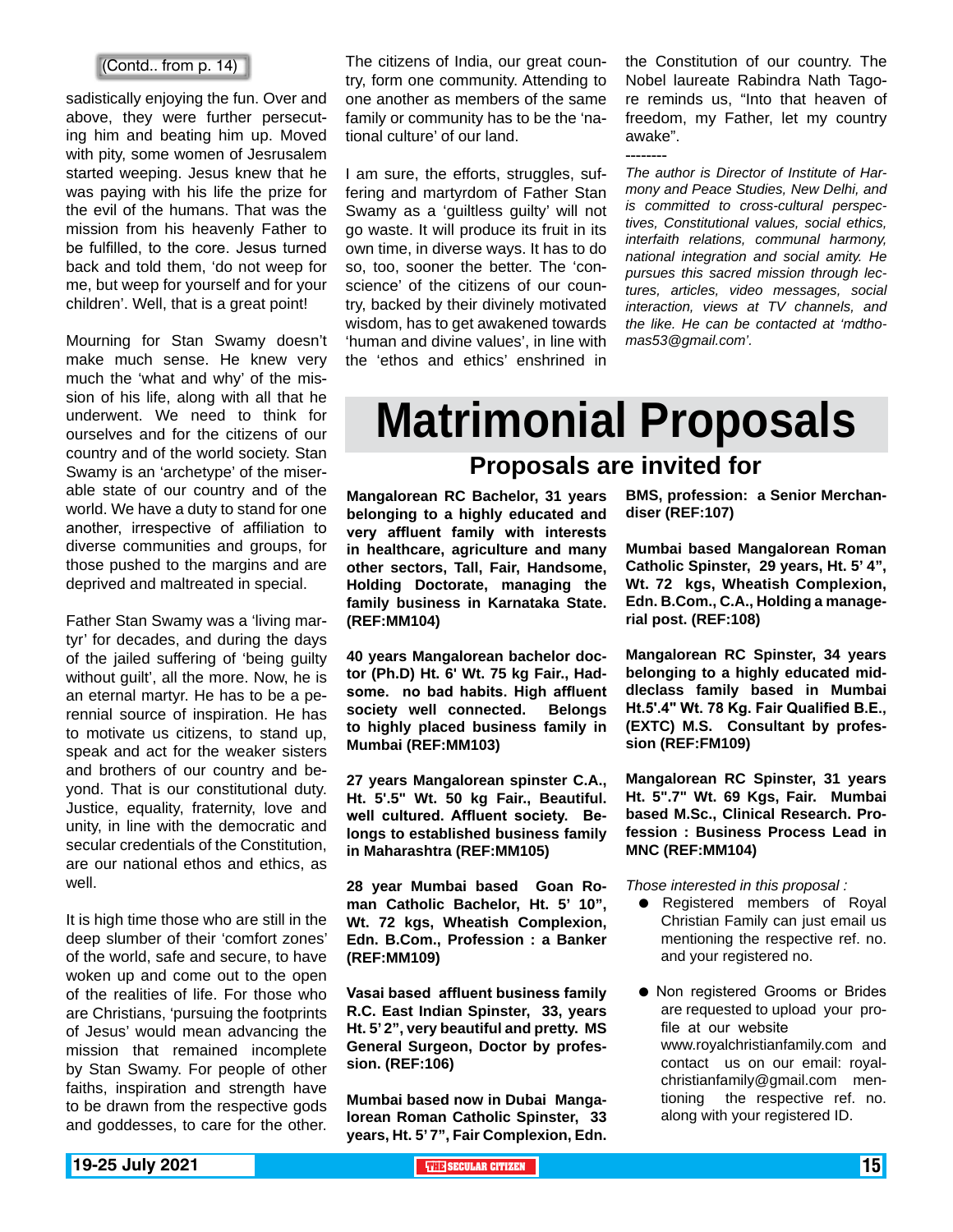#### (Contd.. from p. 14)

sadistically enjoying the fun. Over and above, they were further persecuting him and beating him up. Moved with pity, some women of Jesrusalem started weeping. Jesus knew that he was paying with his life the prize for the evil of the humans. That was the mission from his heavenly Father to be fulfilled, to the core. Jesus turned back and told them, 'do not weep for me, but weep for yourself and for your children'. Well, that is a great point!

Mourning for Stan Swamy doesn't make much sense. He knew very much the 'what and why' of the mission of his life, along with all that he underwent. We need to think for ourselves and for the citizens of our country and of the world society. Stan Swamy is an 'archetype' of the miserable state of our country and of the world. We have a duty to stand for one another, irrespective of affiliation to diverse communities and groups, for those pushed to the margins and are deprived and maltreated in special.

Father Stan Swamy was a 'living martyr' for decades, and during the days of the jailed suffering of 'being guilty without guilt', all the more. Now, he is an eternal martyr. He has to be a perennial source of inspiration. He has to motivate us citizens, to stand up, speak and act for the weaker sisters and brothers of our country and beyond. That is our constitutional duty. Justice, equality, fraternity, love and unity, in line with the democratic and secular credentials of the Constitution, are our national ethos and ethics, as well.

It is high time those who are still in the deep slumber of their 'comfort zones' of the world, safe and secure, to have woken up and come out to the open of the realities of life. For those who are Christians, 'pursuing the footprints of Jesus' would mean advancing the mission that remained incomplete by Stan Swamy. For people of other faiths, inspiration and strength have to be drawn from the respective gods and goddesses, to care for the other.

The citizens of India, our great country, form one community. Attending to one another as members of the same family or community has to be the 'national culture' of our land.

I am sure, the efforts, struggles, suffering and martyrdom of Father Stan Swamy as a 'guiltless guilty' will not go waste. It will produce its fruit in its own time, in diverse ways. It has to do so, too, sooner the better. The 'conscience' of the citizens of our country, backed by their divinely motivated wisdom, has to get awakened towards 'human and divine values', in line with the 'ethos and ethics' enshrined in the Constitution of our country. The Nobel laureate Rabindra Nath Tagore reminds us, "Into that heaven of freedom, my Father, let my country awake".

*The author is Director of Institute of Harmony and Peace Studies, New Delhi, and is committed to cross-cultural perspectives, Constitutional values, social ethics, interfaith relations, communal harmony, national integration and social amity. He pursues this sacred mission through lectures, articles, video messages, social interaction, views at TV channels, and the like. He can be contacted at 'mdthomas53@gmail.com'.* 

## **Matrimonial Proposals**

#### **Proposals are invited for**

--------

**Mangalorean RC Bachelor, 31 years belonging to a highly educated and very affluent family with interests in healthcare, agriculture and many other sectors, Tall, Fair, Handsome, Holding Doctorate, managing the family business in Karnataka State. (REF:MM104)**

**40 years Mangalorean bachelor doctor (Ph.D) Ht. 6' Wt. 75 kg Fair., Hadsome. no bad habits. High affluent society well connected. Belongs to highly placed business family in Mumbai (REF:MM103)**

**27 years Mangalorean spinster C.A., Ht. 5'.5" Wt. 50 kg Fair., Beautiful. well cultured. Affluent society. Belongs to established business family in Maharashtra (REF:MM105)**

**28 year Mumbai based Goan Roman Catholic Bachelor, Ht. 5' 10", Wt. 72 kgs, Wheatish Complexion, Edn. B.Com., Profession : a Banker (REF:MM109)**

**Vasai based affluent business family R.C. East Indian Spinster, 33, years Ht. 5' 2", very beautiful and pretty. MS General Surgeon, Doctor by profession. (REF:106)**

**Mumbai based now in Dubai Mangalorean Roman Catholic Spinster, 33 years, Ht. 5' 7", Fair Complexion, Edn.**  **BMS, profession: a Senior Merchandiser (REF:107)**

**Mumbai based Mangalorean Roman Catholic Spinster, 29 years, Ht. 5' 4", Wt. 72 kgs, Wheatish Complexion, Edn. B.Com., C.A., Holding a managerial post. (REF:108)** 

**Mangalorean RC Spinster, 34 years belonging to a highly educated middleclass family based in Mumbai Ht.5'.4" Wt. 78 Kg. Fair Qualified B.E., (EXTC) M.S. Consultant by profession (REF:FM109)**

**Mangalorean RC Spinster, 31 years Ht. 5".7" Wt. 69 Kgs, Fair. Mumbai based M.Sc., Clinical Research. Profession : Business Process Lead in MNC (REF:MM104)**

*Those interested in this proposal :*

- Registered members of Royal Christian Family can just email us mentioning the respective ref. no. and your registered no.
- **Non registered Grooms or Brides** are requested to upload your profile at our website www.royalchristianfamily.com and contact us on our email: royalchristianfamily@gmail.com mentioning the respective ref. no. along with your registered ID.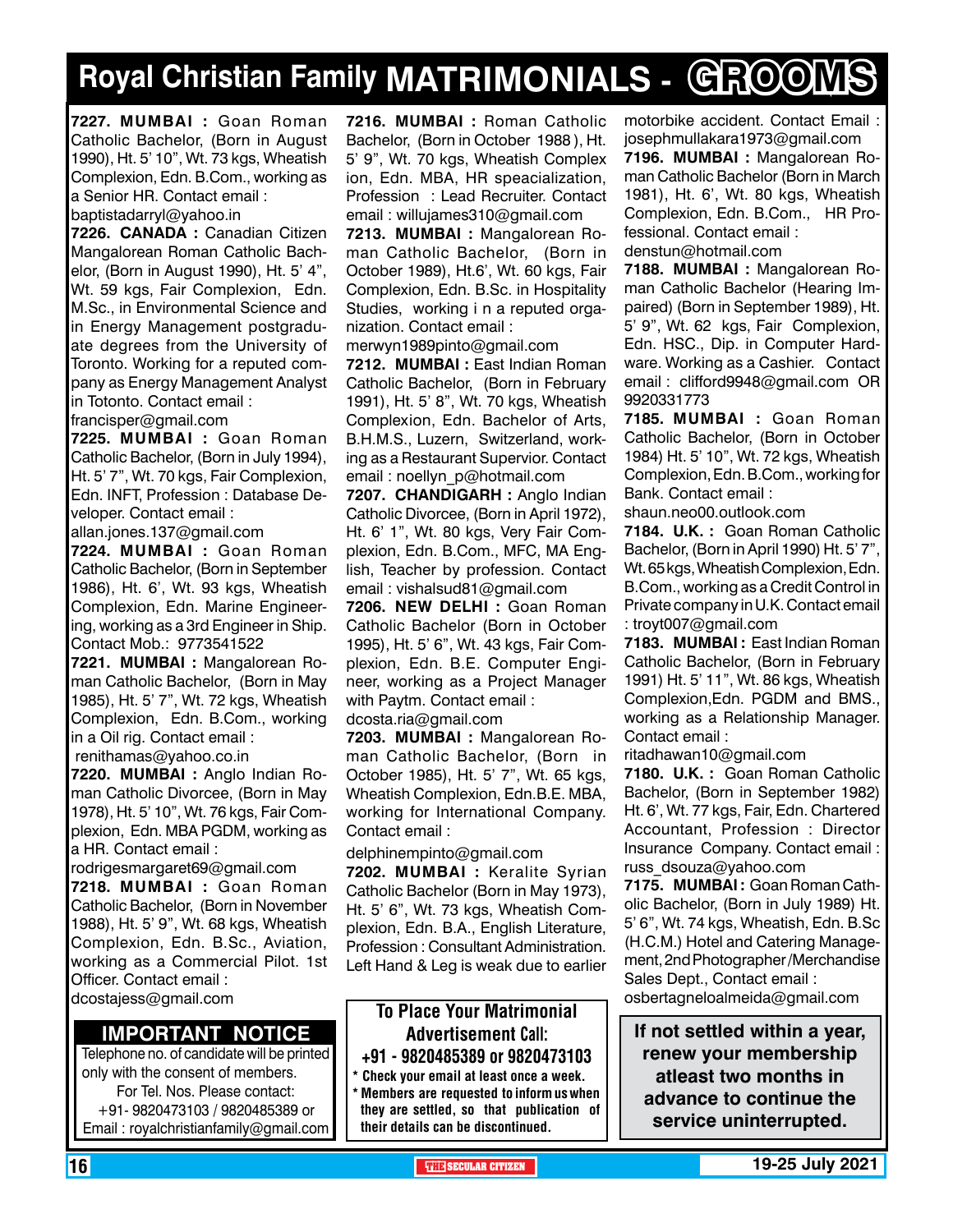## **Royal Christian Family MATRIMONIALS - GROOMS**

**7227. MUMBAI :** Goan Roman Catholic Bachelor, (Born in August 1990), Ht. 5' 10", Wt. 73 kgs, Wheatish Complexion, Edn. B.Com., working as a Senior HR. Contact email : baptistadarryl@yahoo.in

**7226. CANADA :** Canadian Citizen Mangalorean Roman Catholic Bachelor, (Born in August 1990), Ht. 5' 4", Wt. 59 kgs, Fair Complexion, Edn. M.Sc., in Environmental Science and in Energy Management postgraduate degrees from the University of Toronto. Working for a reputed company as Energy Management Analyst in Totonto. Contact email :

francisper@gmail.com

**7225. MUMBAI :** Goan Roman Catholic Bachelor, (Born in July 1994), Ht. 5' 7", Wt. 70 kgs, Fair Complexion, Edn. INFT, Profession : Database Developer. Contact email :

allan.jones.137@gmail.com

**7224. MUMBAI :** Goan Roman Catholic Bachelor, (Born in September 1986), Ht. 6', Wt. 93 kgs, Wheatish Complexion, Edn. Marine Engineering, working as a 3rd Engineer in Ship. Contact Mob.: 9773541522

**7221. MUMBAI :** Mangalorean Roman Catholic Bachelor, (Born in May 1985), Ht. 5' 7", Wt. 72 kgs, Wheatish Complexion, Edn. B.Com., working in a Oil rig. Contact email :

renithamas@yahoo.co.in

**7220. MUMBAI :** Anglo Indian Roman Catholic Divorcee, (Born in May 1978), Ht. 5' 10", Wt. 76 kgs, Fair Complexion, Edn. MBA PGDM, working as a HR. Contact email :

rodrigesmargaret69@gmail.com **7218. MUMBAI :** Goan Roman Catholic Bachelor, (Born in November 1988), Ht. 5' 9", Wt. 68 kgs, Wheatish Complexion, Edn. B.Sc., Aviation, working as a Commercial Pilot. 1st Officer. Contact email : dcostajess@gmail.com

## **Important Notice**

Telephone no. of candidate will be printed only with the consent of members. For Tel. Nos. Please contact: +91- 9820473103 / 9820485389 or Email : royalchristianfamily@gmail.com

**7216. MUMBAI :** Roman Catholic Bachelor, (Born in October 1988 ), Ht. 5' 9", Wt. 70 kgs, Wheatish Complex ion, Edn. MBA, HR speacialization, Profession : Lead Recruiter. Contact email : willujames310@gmail.com

**7213. MUMBAI :** Mangalorean Roman Catholic Bachelor, (Born in October 1989), Ht.6', Wt. 60 kgs, Fair Complexion, Edn. B.Sc. in Hospitality Studies, working i n a reputed organization. Contact email :

merwyn1989pinto@gmail.com

**7212. MUMBAI :** East Indian Roman Catholic Bachelor, (Born in February 1991), Ht. 5' 8", Wt. 70 kgs, Wheatish Complexion, Edn. Bachelor of Arts, B.H.M.S., Luzern, Switzerland, working as a Restaurant Supervior. Contact email : noellyn\_p@hotmail.com

**7207. Chandigarh :** Anglo Indian Catholic Divorcee, (Born in April 1972), Ht. 6' 1", Wt. 80 kgs, Very Fair Complexion, Edn. B.Com., MFC, MA English, Teacher by profession. Contact email : vishalsud81@gmail.com

**7206. new delhi :** Goan Roman Catholic Bachelor (Born in October 1995), Ht. 5' 6", Wt. 43 kgs, Fair Complexion, Edn. B.E. Computer Engineer, working as a Project Manager with Paytm. Contact email : dcosta.ria@gmail.com

**7203. MUMBAI :** Mangalorean Roman Catholic Bachelor, (Born in October 1985), Ht. 5' 7", Wt. 65 kgs, Wheatish Complexion, Edn.B.E. MBA, working for International Company. Contact email :

delphinempinto@gmail.com

**7202. MUMBAI :** Keralite Syrian Catholic Bachelor (Born in May 1973), Ht. 5' 6", Wt. 73 kgs, Wheatish Complexion, Edn. B.A., English Literature, Profession : Consultant Administration. Left Hand & Leg is weak due to earlier

#### To Place Your Matrimonial Advertisement Call: +91 - 9820485389 or 9820473103

Check your email at least once a week.

Members are requested to inform us when they are settled, so that publication of their details can be discontinued.

motorbike accident. Contact Email : josephmullakara1973@gmail.com **7196. MUMBAI :** Mangalorean Roman Catholic Bachelor (Born in March 1981), Ht. 6', Wt. 80 kgs, Wheatish Complexion, Edn. B.Com., HR Professional. Contact email : denstun@hotmail.com

**7188. MUMBAI :** Mangalorean Roman Catholic Bachelor (Hearing Impaired) (Born in September 1989), Ht. 5' 9", Wt. 62 kgs, Fair Complexion, Edn. HSC., Dip. in Computer Hardware. Working as a Cashier. Contact email : clifford9948@gmail.com OR 9920331773

**7185. MUMBAI :** Goan Roman Catholic Bachelor, (Born in October 1984) Ht. 5' 10", Wt. 72 kgs, Wheatish Complexion, Edn. B.Com., working for Bank. Contact email :

shaun.neo00.outlook.com

**7184. U.K. :** Goan Roman Catholic Bachelor, (Born in April 1990) Ht. 5' 7", Wt. 65 kgs, Wheatish Complexion, Edn. B.Com., working as a Credit Control in Private company in U.K. Contact email : troyt007@gmail.com

**7183. MUMBAI :** East Indian Roman Catholic Bachelor, (Born in February 1991) Ht. 5' 11", Wt. 86 kgs, Wheatish Complexion,Edn. PGDM and BMS., working as a Relationship Manager. Contact email :

ritadhawan10@gmail.com

**7180. U.K. :** Goan Roman Catholic Bachelor, (Born in September 1982) Ht. 6', Wt. 77 kgs, Fair, Edn. Chartered Accountant, Profession : Director Insurance Company. Contact email : russ\_dsouza@yahoo.com

**7175. MUMBAI :** Goan Roman Catholic Bachelor, (Born in July 1989) Ht. 5' 6", Wt. 74 kgs, Wheatish, Edn. B.Sc (H.C.M.) Hotel and Catering Management, 2nd Photographer /Merchandise Sales Dept., Contact email : osbertagneloalmeida@gmail.com

**If not settled within a year, renew your membership atleast two months in advance to continue the service uninterrupted.**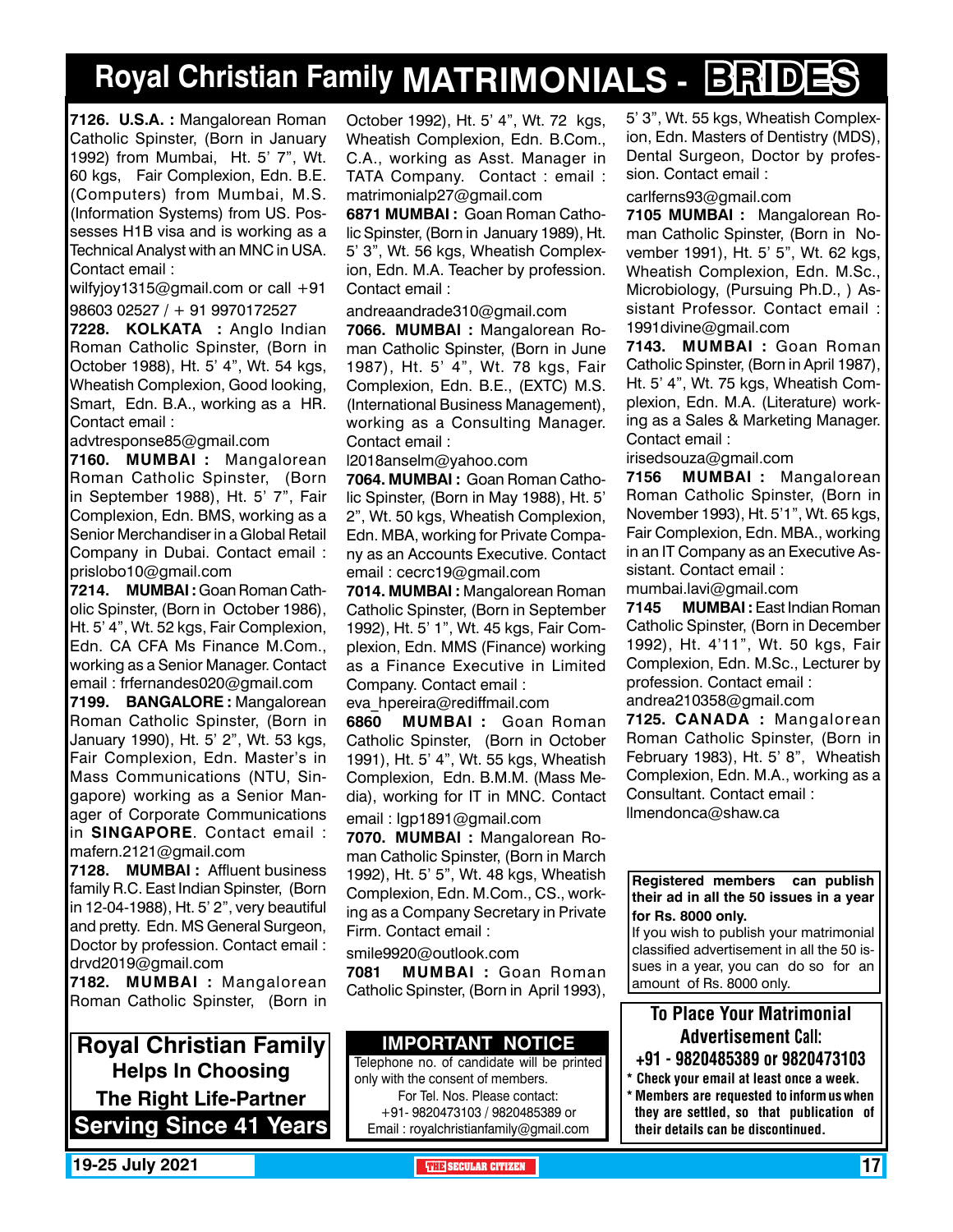## **Royal Christian Family MATRIMONIALS - BRIDES**

**7126. U.S.A. :** Mangalorean Roman Catholic Spinster, (Born in January 1992) from Mumbai, Ht. 5' 7", Wt. 60 kgs, Fair Complexion, Edn. B.E. (Computers) from Mumbai, M.S. (Information Systems) from US. Possesses H1B visa and is working as a Technical Analyst with an MNC in USA. Contact email :

wilfyjoy1315@gmail.com or call +91 98603 02527 / + 91 9970172527

**7228. KOLKATA :** Anglo Indian Roman Catholic Spinster, (Born in October 1988), Ht. 5' 4", Wt. 54 kgs, Wheatish Complexion, Good looking, Smart, Edn. B.A., working as a HR. Contact email :

advtresponse85@gmail.com

**7160. MUMBAI :** Mangalorean Roman Catholic Spinster, (Born in September 1988), Ht. 5' 7", Fair Complexion, Edn. BMS, working as a Senior Merchandiser in a Global Retail Company in Dubai. Contact email : prislobo10@gmail.com

**7214. MUMBAI :** Goan Roman Catholic Spinster, (Born in October 1986), Ht. 5' 4", Wt. 52 kgs, Fair Complexion, Edn. CA CFA Ms Finance M.Com., working as a Senior Manager. Contact email : frfernandes020@gmail.com

**7199. BANGALORE :** Mangalorean Roman Catholic Spinster, (Born in January 1990), Ht. 5' 2", Wt. 53 kgs, Fair Complexion, Edn. Master's in Mass Communications (NTU, Singapore) working as a Senior Manager of Corporate Communications in **SINGAPORE**. Contact email : mafern.2121@gmail.com

**7128. MUMBAI :** Affluent business family R.C. East Indian Spinster, (Born in 12-04-1988), Ht. 5' 2", very beautiful and pretty. Edn. MS General Surgeon, Doctor by profession. Contact email : drvd2019@gmail.com

**7182. MUMBAI :** Mangalorean Roman Catholic Spinster, (Born in

**Royal Christian Family Helps In Choosing The Right Life-Partner Serving Since 41 Years** October 1992), Ht. 5' 4", Wt. 72 kgs, Wheatish Complexion, Edn. B.Com., C.A., working as Asst. Manager in TATA Company. Contact : email : matrimonialp27@gmail.com

**6871 MUMBAI :** Goan Roman Catholic Spinster, (Born in January 1989), Ht. 5' 3", Wt. 56 kgs, Wheatish Complexion, Edn. M.A. Teacher by profession. Contact email :

andreaandrade310@gmail.com

**7066. MUMBAI :** Mangalorean Roman Catholic Spinster, (Born in June 1987), Ht. 5' 4", Wt. 78 kgs, Fair Complexion, Edn. B.E., (EXTC) M.S. (International Business Management), working as a Consulting Manager. Contact email :

l2018anselm@yahoo.com

**7064. MUMBAI :** Goan Roman Catholic Spinster, (Born in May 1988), Ht. 5' 2", Wt. 50 kgs, Wheatish Complexion, Edn. MBA, working for Private Company as an Accounts Executive. Contact email : cecrc19@gmail.com

**7014. MUMBAI :** Mangalorean Roman Catholic Spinster, (Born in September 1992), Ht. 5' 1", Wt. 45 kgs, Fair Complexion, Edn. MMS (Finance) working as a Finance Executive in Limited Company. Contact email :

eva\_hpereira@rediffmail.com

**6860 MUMBAI :** Goan Roman Catholic Spinster, (Born in October 1991), Ht. 5' 4", Wt. 55 kgs, Wheatish Complexion, Edn. B.M.M. (Mass Media), working for IT in MNC. Contact

email : lgp1891@gmail.com

**7070. MUMBAI :** Mangalorean Roman Catholic Spinster, (Born in March 1992), Ht. 5' 5", Wt. 48 kgs, Wheatish Complexion, Edn. M.Com., CS., working as a Company Secretary in Private Firm. Contact email :

smile9920@outlook.com **7081 MUMBAI :** Goan Roman Catholic Spinster, (Born in April 1993),

#### **Important Notice**

Telephone no. of candidate will be printed only with the consent of members. For Tel. Nos. Please contact: +91- 9820473103 / 9820485389 or Email : royalchristianfamily@gmail.com

5' 3", Wt. 55 kgs, Wheatish Complexion, Edn. Masters of Dentistry (MDS), Dental Surgeon, Doctor by profession. Contact email :

carlferns93@gmail.com

**7105 MUMBAI :** Mangalorean Roman Catholic Spinster, (Born in November 1991), Ht. 5' 5", Wt. 62 kgs, Wheatish Complexion, Edn. M.Sc., Microbiology, (Pursuing Ph.D., ) Assistant Professor. Contact email : 1991divine@gmail.com

**7143. MUMBAI :** Goan Roman Catholic Spinster, (Born in April 1987), Ht. 5' 4", Wt. 75 kgs, Wheatish Complexion, Edn. M.A. (Literature) working as a Sales & Marketing Manager. Contact email :

irisedsouza@gmail.com

**7156 MUMBAI :** Mangalorean Roman Catholic Spinster, (Born in November 1993), Ht. 5'1", Wt. 65 kgs, Fair Complexion, Edn. MBA., working in an IT Company as an Executive Assistant. Contact email : mumbai.lavi@gmail.com

**7145 MUMBAI :** East Indian Roman Catholic Spinster, (Born in December 1992), Ht. 4'11", Wt. 50 kgs, Fair Complexion, Edn. M.Sc., Lecturer by profession. Contact email : andrea210358@gmail.com

**7125. CANADA :** Mangalorean Roman Catholic Spinster, (Born in February 1983), Ht. 5' 8", Wheatish Complexion, Edn. M.A., working as a Consultant. Contact email : llmendonca@shaw.ca

**Registered members can publish their ad in all the 50 issues in a year for Rs. 8000 only.**

If you wish to publish your matrimonial classified advertisement in all the 50 issues in a year, you can do so for an amount of Rs. 8000 only.

#### To Place Your Matrimonial Advertisement Call:

- +91 9820485389 or 9820473103
- \* Check your email at least once a week. Members are requested to inform us when they are settled, so that publication of their details can be discontinued.

**19-25 July 2021 THE SECULAR CITIZEN** 17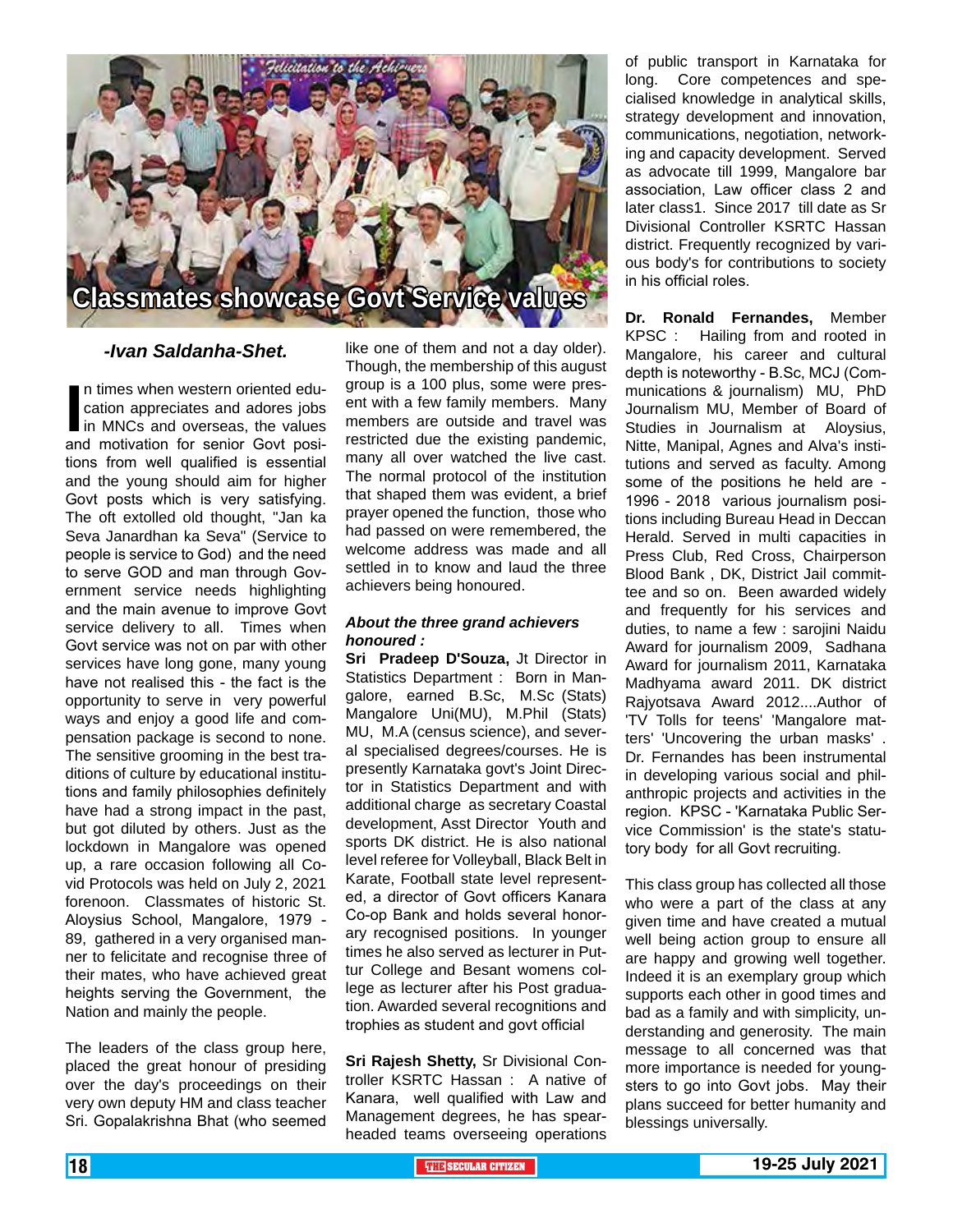

#### *-Ivan Saldanha-Shet.*

In times when western oriented education appreciates and adores jobs<br>in MNCs and overseas, the values<br>and motivation for senior Govt posin times when western oriented education appreciates and adores jobs in MNCs and overseas, the values tions from well qualified is essential and the young should aim for higher Govt posts which is very satisfying. The oft extolled old thought, "Jan ka Seva Janardhan ka Seva" (Service to people is service to God) and the need to serve GOD and man through Government service needs highlighting and the main avenue to improve Govt service delivery to all. Times when Govt service was not on par with other services have long gone, many young have not realised this - the fact is the opportunity to serve in very powerful ways and enjoy a good life and compensation package is second to none. The sensitive grooming in the best traditions of culture by educational institutions and family philosophies definitely have had a strong impact in the past, but got diluted by others. Just as the lockdown in Mangalore was opened up, a rare occasion following all Covid Protocols was held on July 2, 2021 forenoon. Classmates of historic St. Aloysius School, Mangalore, 1979 - 89, gathered in a very organised manner to felicitate and recognise three of their mates, who have achieved great heights serving the Government, the Nation and mainly the people.

The leaders of the class group here, placed the great honour of presiding over the day's proceedings on their very own deputy HM and class teacher Sri. Gopalakrishna Bhat (who seemed

like one of them and not a day older). Though, the membership of this august group is a 100 plus, some were present with a few family members. Many members are outside and travel was restricted due the existing pandemic, many all over watched the live cast. The normal protocol of the institution that shaped them was evident, a brief prayer opened the function, those who had passed on were remembered, the welcome address was made and all settled in to know and laud the three achievers being honoured.

#### *About the three grand achievers honoured :*

**Sri Pradeep D'Souza,** Jt Director in Statistics Department : Born in Mangalore, earned B.Sc, M.Sc (Stats) Mangalore Uni(MU), M.Phil (Stats) MU, M.A (census science), and several specialised degrees/courses. He is presently Karnataka govt's Joint Director in Statistics Department and with additional charge as secretary Coastal development, Asst Director Youth and sports DK district. He is also national level referee for Volleyball, Black Belt in Karate, Football state level represented, a director of Govt officers Kanara Co-op Bank and holds several honorary recognised positions. In younger times he also served as lecturer in Puttur College and Besant womens college as lecturer after his Post graduation. Awarded several recognitions and trophies as student and govt official

**Sri Rajesh Shetty,** Sr Divisional Controller KSRTC Hassan : A native of Kanara, well qualified with Law and Management degrees, he has spearheaded teams overseeing operations of public transport in Karnataka for long. Core competences and specialised knowledge in analytical skills, strategy development and innovation, communications, negotiation, networking and capacity development. Served as advocate till 1999, Mangalore bar association, Law officer class 2 and later class1. Since 2017 till date as Sr Divisional Controller KSRTC Hassan district. Frequently recognized by various body's for contributions to society in his official roles.

**Dr. Ronald Fernandes,** Member KPSC : Hailing from and rooted in Mangalore, his career and cultural depth is noteworthy - B.Sc, MCJ (Communications & journalism) MU, PhD Journalism MU, Member of Board of Studies in Journalism at Aloysius, Nitte, Manipal, Agnes and Alva's institutions and served as faculty. Among some of the positions he held are - 1996 - 2018 various journalism positions including Bureau Head in Deccan Herald. Served in multi capacities in Press Club, Red Cross, Chairperson Blood Bank , DK, District Jail committee and so on. Been awarded widely and frequently for his services and duties, to name a few : sarojini Naidu Award for journalism 2009, Sadhana Award for journalism 2011, Karnataka Madhyama award 2011. DK district Rajyotsava Award 2012....Author of 'TV Tolls for teens' 'Mangalore matters' 'Uncovering the urban masks' . Dr. Fernandes has been instrumental in developing various social and philanthropic projects and activities in the region. KPSC - 'Karnataka Public Service Commission' is the state's statutory body for all Govt recruiting.

This class group has collected all those who were a part of the class at any given time and have created a mutual well being action group to ensure all are happy and growing well together. Indeed it is an exemplary group which supports each other in good times and bad as a family and with simplicity, understanding and generosity. The main message to all concerned was that more importance is needed for youngsters to go into Govt jobs. May their plans succeed for better humanity and blessings universally.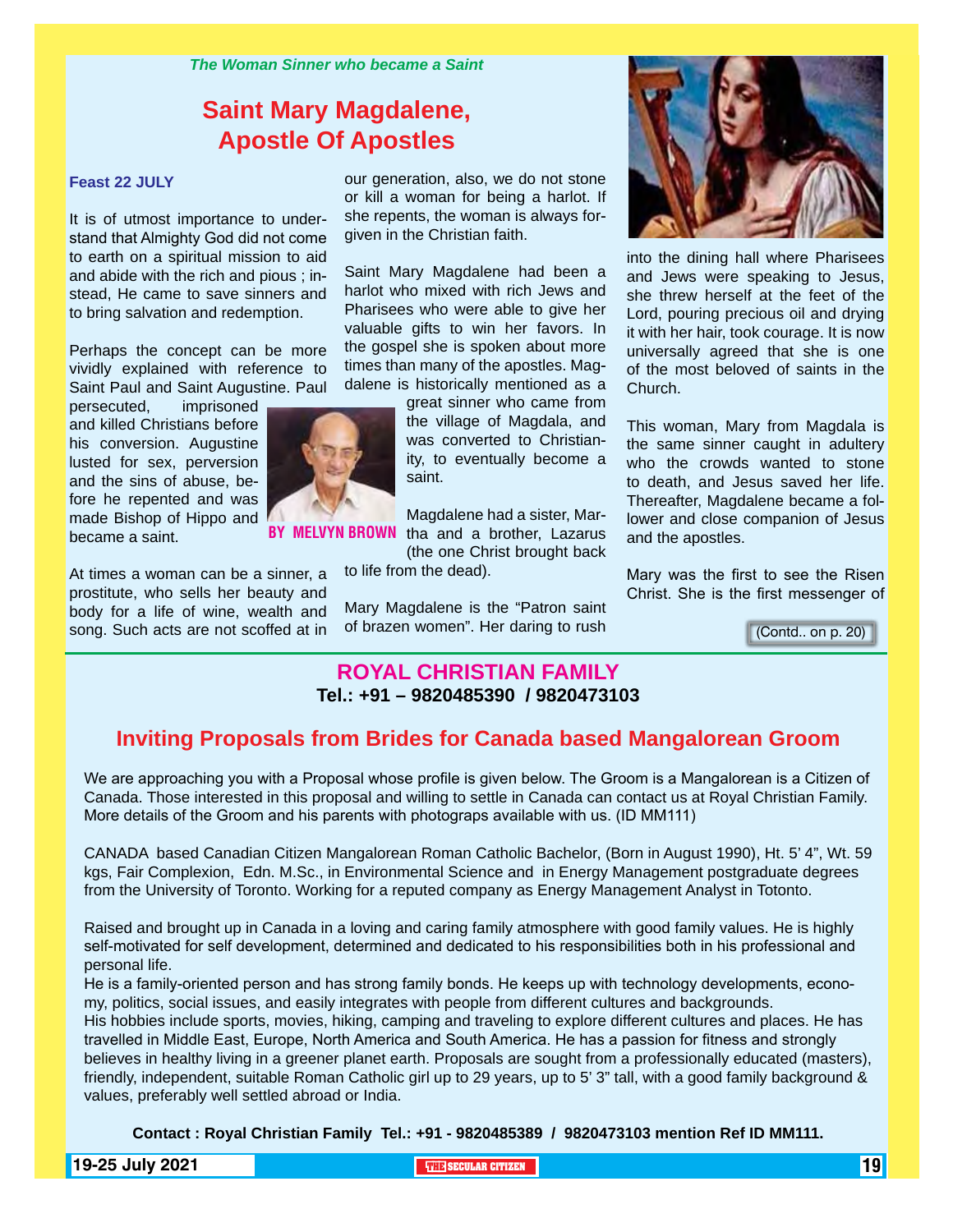*The Woman Sinner who became a Saint* 

### **Saint Mary Magdalene, Apostle Of Apostles**

#### **Feast 22 JULY**

It is of utmost importance to understand that Almighty God did not come to earth on a spiritual mission to aid and abide with the rich and pious ; instead, He came to save sinners and to bring salvation and redemption.

Perhaps the concept can be more vividly explained with reference to Saint Paul and Saint Augustine. Paul

persecuted, imprisoned and killed Christians before his conversion. Augustine lusted for sex, perversion and the sins of abuse, before he repented and was made Bishop of Hippo and became a saint.

At times a woman can be a sinner, a prostitute, who sells her beauty and body for a life of wine, wealth and song. Such acts are not scoffed at in our generation, also, we do not stone or kill a woman for being a harlot. If she repents, the woman is always forgiven in the Christian faith.

Saint Mary Magdalene had been a harlot who mixed with rich Jews and Pharisees who were able to give her valuable gifts to win her favors. In the gospel she is spoken about more times than many of the apostles. Magdalene is historically mentioned as a

great sinner who came from the village of Magdala, and was converted to Christianity, to eventually become a saint.

Magdalene had a sister, Martha and a brother, Lazarus (the one Christ brought back **BROWN** 

to life from the dead).

Mary Magdalene is the "Patron saint of brazen women". Her daring to rush



into the dining hall where Pharisees and Jews were speaking to Jesus, she threw herself at the feet of the Lord, pouring precious oil and drying it with her hair, took courage. It is now universally agreed that she is one of the most beloved of saints in the Church.

This woman, Mary from Magdala is the same sinner caught in adultery who the crowds wanted to stone to death, and Jesus saved her life. Thereafter, Magdalene became a follower and close companion of Jesus and the apostles.

Mary was the first to see the Risen Christ. She is the first messenger of

(Contd.. on p. 20)

#### **Royal Christian Family Tel.: +91 – 9820485390 / 9820473103**

#### **Inviting Proposals from Brides for Canada based Mangalorean Groom**

We are approaching you with a Proposal whose profile is given below. The Groom is a Mangalorean is a Citizen of Canada. Those interested in this proposal and willing to settle in Canada can contact us at Royal Christian Family. More details of the Groom and his parents with photograps available with us. (ID MM111)

CANADA based Canadian Citizen Mangalorean Roman Catholic Bachelor, (Born in August 1990), Ht. 5' 4", Wt. 59 kgs, Fair Complexion, Edn. M.Sc., in Environmental Science and in Energy Management postgraduate degrees from the University of Toronto. Working for a reputed company as Energy Management Analyst in Totonto.

Raised and brought up in Canada in a loving and caring family atmosphere with good family values. He is highly self-motivated for self development, determined and dedicated to his responsibilities both in his professional and personal life.

He is a family-oriented person and has strong family bonds. He keeps up with technology developments, economy, politics, social issues, and easily integrates with people from different cultures and backgrounds.

His hobbies include sports, movies, hiking, camping and traveling to explore different cultures and places. He has travelled in Middle East, Europe, North America and South America. He has a passion for fitness and strongly believes in healthy living in a greener planet earth. Proposals are sought from a professionally educated (masters), friendly, independent, suitable Roman Catholic girl up to 29 years, up to 5' 3" tall, with a good family background & values, preferably well settled abroad or India.

**Contact : Royal Christian Family Tel.: +91 - 9820485389 / 9820473103 mention Ref ID MM111.**